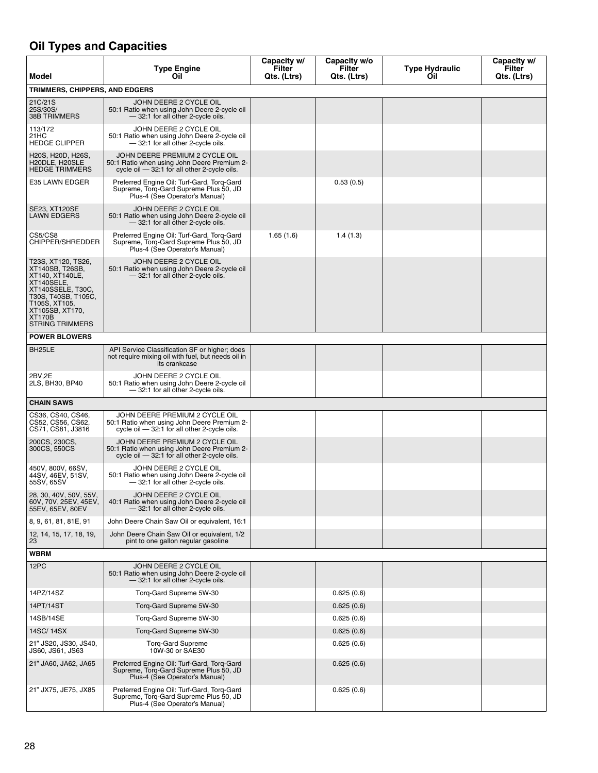## **Oil Types and Capacities**

| Model                                                                                                                                                                                             | <b>Type Engine</b><br>Oil                                                                                                      | Capacity w/<br>Filter<br>Qts. (Ltrs) | Capacity w/o<br>Filter<br>Qts. (Ltrs) | <b>Type Hydraulic</b><br>Oil | Capacity w/<br>Filter<br>Qts. (Ltrs) |
|---------------------------------------------------------------------------------------------------------------------------------------------------------------------------------------------------|--------------------------------------------------------------------------------------------------------------------------------|--------------------------------------|---------------------------------------|------------------------------|--------------------------------------|
| TRIMMERS, CHIPPERS, AND EDGERS                                                                                                                                                                    |                                                                                                                                |                                      |                                       |                              |                                      |
| 21C/21S<br>25S/30S/<br><b>38B TRIMMERS</b>                                                                                                                                                        | JOHN DEERE 2 CYCLE OIL<br>50:1 Ratio when using John Deere 2-cycle oil<br>- 32:1 for all other 2-cycle oils.                   |                                      |                                       |                              |                                      |
| 113/172<br>21HC<br><b>HEDGE CLIPPER</b>                                                                                                                                                           | JOHN DEERE 2 CYCLE OIL<br>50:1 Ratio when using John Deere 2-cycle oil<br>- 32:1 for all other 2-cycle oils.                   |                                      |                                       |                              |                                      |
| H20S, H20D, H26S,<br>H20DLE, H20SLE<br><b>HEDGE TRIMMERS</b>                                                                                                                                      | JOHN DEERE PREMIUM 2 CYCLE OIL<br>50:1 Ratio when using John Deere Premium 2-<br>cycle oil - 32:1 for all other 2-cycle oils.  |                                      |                                       |                              |                                      |
| E35 LAWN EDGER                                                                                                                                                                                    | Preferred Engine Oil: Turf-Gard, Torq-Gard<br>Supreme, Torq-Gard Supreme Plus 50, JD<br>Plus-4 (See Operator's Manual)         |                                      | 0.53(0.5)                             |                              |                                      |
| SE23, XT120SE<br><b>LAWN EDGERS</b>                                                                                                                                                               | JOHN DEERE 2 CYCLE OIL<br>50:1 Ratio when using John Deere 2-cycle oil<br>- 32:1 for all other 2-cycle oils.                   |                                      |                                       |                              |                                      |
| CS5/CS8<br>CHIPPER/SHREDDER                                                                                                                                                                       | Preferred Engine Oil: Turf-Gard, Torq-Gard<br>Supreme, Torq-Gard Supreme Plus 50, JD<br>Plus-4 (See Operator's Manual)         | 1.65(1.6)                            | 1.4(1.3)                              |                              |                                      |
| T23S, XT120, TS26,<br>XT140SB, T26SB,<br>XT140, XT140LE,<br>XT140SELE,<br>XT140SSELE, T30C,<br>T30S, T40SB, T105C,<br>T105S, XT105,<br>XT105SB, XT170,<br><b>XT170B</b><br><b>STRING TRIMMERS</b> | JOHN DEERE 2 CYCLE OIL<br>50:1 Ratio when using John Deere 2-cycle oil<br>- 32:1 for all other 2-cycle oils.                   |                                      |                                       |                              |                                      |
| <b>POWER BLOWERS</b>                                                                                                                                                                              |                                                                                                                                |                                      |                                       |                              |                                      |
| BH <sub>25</sub> LE                                                                                                                                                                               | API Service Classification SF or higher; does<br>not require mixing oil with fuel, but needs oil in<br>its crankcase           |                                      |                                       |                              |                                      |
| 2BV.2E<br>2LS, BH30, BP40                                                                                                                                                                         | JOHN DEERE 2 CYCLE OIL<br>50:1 Ratio when using John Deere 2-cycle oil<br>- 32:1 for all other 2-cycle oils.                   |                                      |                                       |                              |                                      |
| <b>CHAIN SAWS</b>                                                                                                                                                                                 |                                                                                                                                |                                      |                                       |                              |                                      |
| CS36, CS40, CS46.<br>CS52, CS56, CS62,<br>CS71, CS81, J3816                                                                                                                                       | JOHN DEERE PREMIUM 2 CYCLE OIL<br>50:1 Ratio when using John Deere Premium 2-<br>cycle oil $-32:1$ for all other 2-cycle oils. |                                      |                                       |                              |                                      |
| 200CS, 230CS,<br>300CS, 550CS                                                                                                                                                                     | JOHN DEERE PREMIUM 2 CYCLE OIL<br>50:1 Ratio when using John Deere Premium 2-<br>cycle oil - 32:1 for all other 2-cycle oils.  |                                      |                                       |                              |                                      |
| 450V, 800V, 66SV,<br>44SV, 46EV, 51SV,<br>55SV, 65SV                                                                                                                                              | JOHN DEERE 2 CYCLE OIL<br>50:1 Ratio when using John Deere 2-cycle oil<br>- 32:1 for all other 2-cycle oils.                   |                                      |                                       |                              |                                      |
| 28, 30, 40V, 50V, 55V,<br>60V, 70V, 25EV, 45EV,<br>55EV, 65EV, 80EV                                                                                                                               | JOHN DEERE 2 CYCLE OIL<br>40:1 Ratio when using John Deere 2-cycle oil<br>- 32:1 for all other 2-cycle oils.                   |                                      |                                       |                              |                                      |
| 8, 9, 61, 81, 81E, 91                                                                                                                                                                             | John Deere Chain Saw Oil or equivalent, 16:1                                                                                   |                                      |                                       |                              |                                      |
| 12, 14, 15, 17, 18, 19,<br>23                                                                                                                                                                     | John Deere Chain Saw Oil or equivalent, 1/2<br>pint to one gallon regular gasoline                                             |                                      |                                       |                              |                                      |
| WBRM                                                                                                                                                                                              |                                                                                                                                |                                      |                                       |                              |                                      |
| 12PC                                                                                                                                                                                              | JOHN DEERE 2 CYCLE OIL<br>50:1 Ratio when using John Deere 2-cycle oil<br>- 32:1 for all other 2-cycle oils.                   |                                      |                                       |                              |                                      |
| 14PZ/14SZ                                                                                                                                                                                         | Torq-Gard Supreme 5W-30                                                                                                        |                                      | 0.625(0.6)                            |                              |                                      |
| 14PT/14ST                                                                                                                                                                                         | Torg-Gard Supreme 5W-30                                                                                                        |                                      | 0.625(0.6)                            |                              |                                      |
| 14SB/14SE                                                                                                                                                                                         | Torq-Gard Supreme 5W-30                                                                                                        |                                      | 0.625(0.6)                            |                              |                                      |
| 14SC/14SX                                                                                                                                                                                         | Torg-Gard Supreme 5W-30                                                                                                        |                                      | 0.625(0.6)                            |                              |                                      |
| 21" JS20, JS30, JS40,<br>JS60, JS61, JS63                                                                                                                                                         | <b>Torg-Gard Supreme</b><br>10W-30 or SAE30                                                                                    |                                      | 0.625(0.6)                            |                              |                                      |
| 21" JA60, JA62, JA65                                                                                                                                                                              | Preferred Engine Oil: Turf-Gard, Torq-Gard<br>Supreme, Torg-Gard Supreme Plus 50, JD<br>Plus-4 (See Operator's Manual)         |                                      | 0.625(0.6)                            |                              |                                      |
| 21" JX75, JE75, JX85                                                                                                                                                                              | Preferred Engine Oil: Turf-Gard, Torq-Gard<br>Supreme, Torg-Gard Supreme Plus 50, JD<br>Plus-4 (See Operator's Manual)         |                                      | 0.625(0.6)                            |                              |                                      |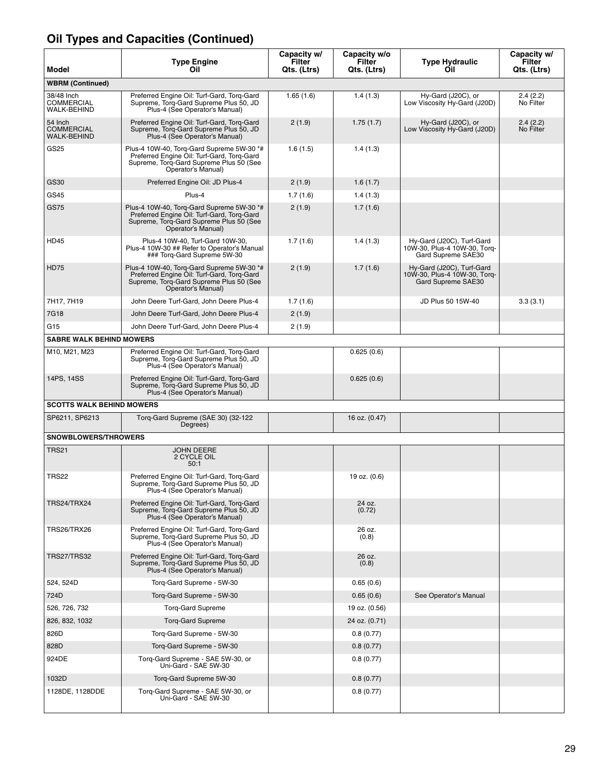| Model                                   | <b>Type Engine</b><br>Oil                                                                                                                                | Capacity w/<br>Filter<br>Qts. (Ltrs) | Capacity w/o<br>Filter<br>Qts. (Ltrs) | <b>Type Hydraulic</b><br>Oil                                                    | Capacity w/<br>Filter<br>Qts. (Ltrs) |
|-----------------------------------------|----------------------------------------------------------------------------------------------------------------------------------------------------------|--------------------------------------|---------------------------------------|---------------------------------------------------------------------------------|--------------------------------------|
| <b>WBRM (Continued)</b>                 |                                                                                                                                                          |                                      |                                       |                                                                                 |                                      |
| 38/48 Inch<br>COMMERCIAL<br>WALK-BEHIND | Preferred Engine Oil: Turf-Gard, Torq-Gard<br>Supreme, Torq-Gard Supreme Plus 50, JD<br>Plus-4 (See Operator's Manual)                                   | 1.65(1.6)                            | 1.4(1.3)                              | Hy-Gard (J20C), or<br>Low Viscosity Hy-Gard (J20D)                              | 2.4(2.2)<br>No Filter                |
| 54 Inch<br>COMMERCIAL<br>WALK-BEHIND    | Preferred Engine Oil: Turf-Gard, Torq-Gard<br>Supreme, Torq-Gard Supreme Plus 50, JD<br>Plus-4 (See Operator's Manual)                                   | 2(1.9)                               | 1.75(1.7)                             | Hy-Gard (J20C), or<br>Low Viscosity Hy-Gard (J20D)                              | 2.4(2.2)<br>No Filter                |
| GS25                                    | Plus-4 10W-40, Torq-Gard Supreme 5W-30 *#<br>Preferred Engine Oil: Turf-Gard, Torq-Gard<br>Supreme, Torq-Gard Supreme Plus 50 (See<br>Operator's Manual) | 1.6(1.5)                             | 1.4(1.3)                              |                                                                                 |                                      |
| GS30                                    | Preferred Engine Oil: JD Plus-4                                                                                                                          | 2(1.9)                               | 1.6(1.7)                              |                                                                                 |                                      |
| GS45                                    | Plus-4                                                                                                                                                   | 1.7(1.6)                             | 1.4(1.3)                              |                                                                                 |                                      |
| GS75                                    | Plus-4 10W-40, Torq-Gard Supreme 5W-30 *#<br>Preferred Engine Oil: Turf-Gard, Torq-Gard<br>Supreme, Torq-Gard Supreme Plus 50 (See<br>Operator's Manual) | 2(1.9)                               | 1.7(1.6)                              |                                                                                 |                                      |
| <b>HD45</b>                             | Plus-4 10W-40. Turf-Gard 10W-30.<br>Plus-4 10W-30 ## Refer to Operator's Manual<br>### Torq-Gard Supreme 5W-30                                           | 1.7(1.6)                             | 1.4(1.3)                              | Hy-Gard (J20C), Turf-Gard<br>10W-30, Plus-4 10W-30, Torg-<br>Gard Supreme SAE30 |                                      |
| <b>HD75</b>                             | Plus-4 10W-40, Torg-Gard Supreme 5W-30 *#<br>Preferred Engine Oil: Turf-Gard, Torg-Gard<br>Supreme, Torq-Gard Supreme Plus 50 (See<br>Operator's Manual) | 2(1.9)                               | 1.7(1.6)                              | Hy-Gard (J20C), Turf-Gard<br>10W-30, Plus-4 10W-30, Torq-<br>Gard Supreme SAE30 |                                      |
| 7H17, 7H19                              | John Deere Turf-Gard, John Deere Plus-4                                                                                                                  | 1.7(1.6)                             |                                       | JD Plus 50 15W-40                                                               | 3.3(3.1)                             |
| 7G18                                    | John Deere Turf-Gard, John Deere Plus-4                                                                                                                  | 2(1.9)                               |                                       |                                                                                 |                                      |
| G15                                     | John Deere Turf-Gard, John Deere Plus-4                                                                                                                  | 2(1.9)                               |                                       |                                                                                 |                                      |
| <b>SABRE WALK BEHIND MOWERS</b>         |                                                                                                                                                          |                                      |                                       |                                                                                 |                                      |
| M10, M21, M23                           | Preferred Engine Oil: Turf-Gard, Torq-Gard<br>Supreme, Torq-Gard Supreme Plus 50, JD<br>Plus-4 (See Operator's Manual)                                   |                                      | 0.625(0.6)                            |                                                                                 |                                      |
| 14PS, 14SS                              | Preferred Engine Oil: Turf-Gard, Torq-Gard<br>Supreme, Torq-Gard Supreme Plus 50, JD<br>Plus-4 (See Operator's Manual)                                   |                                      | 0.625(0.6)                            |                                                                                 |                                      |
| <b>SCOTTS WALK BEHIND MOWERS</b>        |                                                                                                                                                          |                                      |                                       |                                                                                 |                                      |
| SP6211, SP6213                          | Torq-Gard Supreme (SAE 30) (32-122<br>Degrees)                                                                                                           |                                      | 16 oz. $(0.47)$                       |                                                                                 |                                      |
| SNOWBLOWERS/THROWERS                    |                                                                                                                                                          |                                      |                                       |                                                                                 |                                      |
| TRS21                                   | <b>JOHN DEERE</b><br>2 CYCLE OIL<br>50:1                                                                                                                 |                                      |                                       |                                                                                 |                                      |
| <b>TRS22</b>                            | Preferred Engine Oil: Turf-Gard, Torg-Gard<br>Supreme, Torg-Gard Supreme Plus 50, JD<br>Plus-4 (See Operator's Manual)                                   |                                      | 19 oz. (0.6)                          |                                                                                 |                                      |
| TRS24/TRX24                             | Preferred Engine Oil: Turf-Gard, Torq-Gard<br>Supreme, Torq-Gard Supreme Plus 50, JD<br>Plus-4 (See Operator's Manual)                                   |                                      | 24 oz.<br>(0.72)                      |                                                                                 |                                      |
| TRS26/TRX26                             | Preferred Engine Oil: Turf-Gard, Torq-Gard<br>Supreme, Torg-Gard Supreme Plus 50, JD<br>Plus-4 (See Operator's Manual)                                   |                                      | 26 oz.<br>(0.8)                       |                                                                                 |                                      |
| <b>TRS27/TRS32</b>                      | Preferred Engine Oil: Turf-Gard, Torq-Gard<br>Supreme, Torq-Gard Supreme Plus 50, JD<br>Plus-4 (See Operator's Manual)                                   |                                      | 26 oz.<br>(0.8)                       |                                                                                 |                                      |
| 524, 524D                               | Torq-Gard Supreme - 5W-30                                                                                                                                |                                      | 0.65(0.6)                             |                                                                                 |                                      |
| 724D                                    | Torg-Gard Supreme - 5W-30                                                                                                                                |                                      | 0.65(0.6)                             | See Operator's Manual                                                           |                                      |
| 526, 726, 732                           | <b>Torg-Gard Supreme</b>                                                                                                                                 |                                      | 19 oz. (0.56)                         |                                                                                 |                                      |
| 826, 832, 1032                          | <b>Torq-Gard Supreme</b>                                                                                                                                 |                                      | 24 oz. (0.71)                         |                                                                                 |                                      |
| 826D                                    | Torg-Gard Supreme - 5W-30                                                                                                                                |                                      | 0.8(0.77)                             |                                                                                 |                                      |
| 828D                                    | Torg-Gard Supreme - 5W-30                                                                                                                                |                                      | 0.8(0.77)                             |                                                                                 |                                      |
| 924DE                                   | Torq-Gard Supreme - SAE 5W-30, or<br>Uni-Gard - SAE 5W-30                                                                                                |                                      | 0.8(0.77)                             |                                                                                 |                                      |
| 1032D                                   | Torg-Gard Supreme 5W-30                                                                                                                                  |                                      | 0.8(0.77)                             |                                                                                 |                                      |
| 1128DE, 1128DDE                         | Torq-Gard Supreme - SAE 5W-30, or<br>Uni-Gard - SAE 5W-30                                                                                                |                                      | 0.8(0.77)                             |                                                                                 |                                      |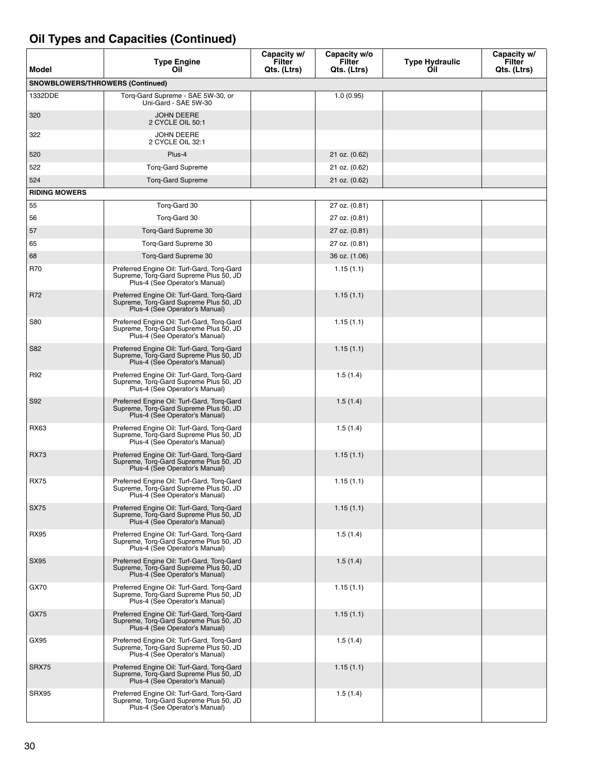| Model                            | <b>Type Engine</b><br>Oil                                                                                              | Capacity w/<br>Filter<br>Qts. (Ltrs) | Capacity w/o<br>Filter<br>Qts. (Ltrs) | <b>Type Hydraulic</b><br>Oil | Capacity w/<br>Filter<br>Qts. (Ltrs) |
|----------------------------------|------------------------------------------------------------------------------------------------------------------------|--------------------------------------|---------------------------------------|------------------------------|--------------------------------------|
| SNOWBLOWERS/THROWERS (Continued) |                                                                                                                        |                                      |                                       |                              |                                      |
| 1332DDE                          | Torg-Gard Supreme - SAE 5W-30, or<br>Uni-Gard - SAE 5W-30                                                              |                                      | 1.0(0.95)                             |                              |                                      |
| 320                              | <b>JOHN DEERE</b><br>2 CYCLE OIL 50:1                                                                                  |                                      |                                       |                              |                                      |
| 322                              | JOHN DEERE<br>2 CYCLE OIL 32:1                                                                                         |                                      |                                       |                              |                                      |
| 520                              | Plus-4                                                                                                                 |                                      | 21 oz. (0.62)                         |                              |                                      |
| 522                              | <b>Torg-Gard Supreme</b>                                                                                               |                                      | 21 oz. (0.62)                         |                              |                                      |
| 524                              | <b>Torg-Gard Supreme</b>                                                                                               |                                      | 21 oz. (0.62)                         |                              |                                      |
| <b>RIDING MOWERS</b>             |                                                                                                                        |                                      |                                       |                              |                                      |
| 55                               | Torq-Gard 30                                                                                                           |                                      | 27 oz. (0.81)                         |                              |                                      |
| 56                               | Torq-Gard 30                                                                                                           |                                      | 27 oz. (0.81)                         |                              |                                      |
| 57                               | Torg-Gard Supreme 30                                                                                                   |                                      | $27$ oz. $(0.81)$                     |                              |                                      |
| 65                               | Torq-Gard Supreme 30                                                                                                   |                                      | 27 oz. (0.81)                         |                              |                                      |
| 68                               | Torg-Gard Supreme 30                                                                                                   |                                      | 36 oz. (1.06)                         |                              |                                      |
| <b>R70</b>                       | Preferred Engine Oil: Turf-Gard, Torg-Gard<br>Supreme, Torq-Gard Supreme Plus 50, JD<br>Plus-4 (See Operator's Manual) |                                      | 1.15(1.1)                             |                              |                                      |
| R72                              | Preferred Engine Oil: Turf-Gard, Torq-Gard<br>Supreme, Torq-Gard Supreme Plus 50, JD<br>Plus-4 (See Operator's Manual) |                                      | 1.15(1.1)                             |                              |                                      |
| <b>S80</b>                       | Preferred Engine Oil: Turf-Gard, Torq-Gard<br>Supreme, Torg-Gard Supreme Plus 50, JD<br>Plus-4 (See Operator's Manual) |                                      | 1.15(1.1)                             |                              |                                      |
| S82                              | Preferred Engine Oil: Turf-Gard, Torq-Gard<br>Supreme, Torq-Gard Supreme Plus 50, JD<br>Plus-4 (See Operator's Manual) |                                      | 1.15(1.1)                             |                              |                                      |
| R92                              | Preferred Engine Oil: Turf-Gard, Torq-Gard<br>Supreme, Torq-Gard Supreme Plus 50, JD<br>Plus-4 (See Operator's Manual) |                                      | 1.5(1.4)                              |                              |                                      |
| S92                              | Preferred Engine Oil: Turf-Gard, Torq-Gard<br>Supreme, Torg-Gard Supreme Plus 50, JD<br>Plus-4 (See Operator's Manual) |                                      | 1.5(1.4)                              |                              |                                      |
| RX63                             | Preferred Engine Oil: Turf-Gard, Torq-Gard<br>Supreme, Torq-Gard Supreme Plus 50, JD<br>Plus-4 (See Operator's Manual) |                                      | 1.5(1.4)                              |                              |                                      |
| <b>RX73</b>                      | Preferred Engine Oil: Turf-Gard, Torq-Gard<br>Supreme, Torq-Gard Supreme Plus 50, JD<br>Plus-4 (See Operator's Manual) |                                      | 1.15(1.1)                             |                              |                                      |
| <b>RX75</b>                      | Preferred Engine Oil: Turf-Gard, Torq-Gard<br>Supreme, Torq-Gard Supreme Plus 50, JD<br>Plus-4 (See Operator's Manual) |                                      | 1.15(1.1)                             |                              |                                      |
| <b>SX75</b>                      | Preferred Engine Oil: Turf-Gard, Torq-Gard<br>Supreme, Torg-Gard Supreme Plus 50, JD<br>Plus-4 (See Operator's Manual) |                                      | 1.15(1.1)                             |                              |                                      |
| <b>RX95</b>                      | Preferred Engine Oil: Turf-Gard, Torq-Gard<br>Supreme, Torg-Gard Supreme Plus 50, JD<br>Plus-4 (See Operator's Manual) |                                      | 1.5(1.4)                              |                              |                                      |
| SX95                             | Preferred Engine Oil: Turf-Gard, Torq-Gard<br>Supreme, Torg-Gard Supreme Plus 50, JD<br>Plus-4 (See Operator's Manual) |                                      | 1.5(1.4)                              |                              |                                      |
| GX70                             | Preferred Engine Oil: Turf-Gard, Torq-Gard<br>Supreme, Torg-Gard Supreme Plus 50, JD<br>Plus-4 (See Operator's Manual) |                                      | 1.15(1.1)                             |                              |                                      |
| GX75                             | Preferred Engine Oil: Turf-Gard, Torq-Gard<br>Supreme, Torq-Gard Supreme Plus 50, JD<br>Plus-4 (See Operator's Manual) |                                      | 1.15(1.1)                             |                              |                                      |
| GX95                             | Preferred Engine Oil: Turf-Gard, Torq-Gard<br>Supreme, Torq-Gard Supreme Plus 50, JD<br>Plus-4 (See Operator's Manual) |                                      | 1.5(1.4)                              |                              |                                      |
| SRX75                            | Preferred Engine Oil: Turf-Gard, Torq-Gard<br>Supreme, Torg-Gard Supreme Plus 50, JD<br>Plus-4 (See Operator's Manual) |                                      | 1.15(1.1)                             |                              |                                      |
| SRX95                            | Preferred Engine Oil: Turf-Gard, Torq-Gard<br>Supreme, Torg-Gard Supreme Plus 50, JD<br>Plus-4 (See Operator's Manual) |                                      | 1.5(1.4)                              |                              |                                      |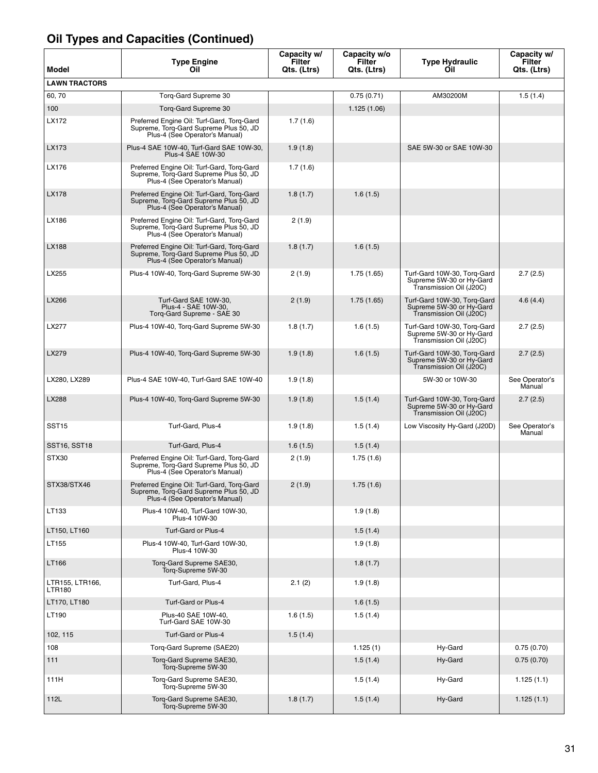| Model                            | <b>Type Engine</b><br>Oil                                                                                              | Capacity w/<br>Filter<br>Qts. (Ltrs) | Capacity w/o<br>Filter<br>Qts. (Ltrs) | <b>Type Hydraulic</b><br>Oil                                                       | Capacity w/<br>Filter<br>Qts. (Ltrs) |
|----------------------------------|------------------------------------------------------------------------------------------------------------------------|--------------------------------------|---------------------------------------|------------------------------------------------------------------------------------|--------------------------------------|
| <b>LAWN TRACTORS</b>             |                                                                                                                        |                                      |                                       |                                                                                    |                                      |
| 60, 70                           | Torq-Gard Supreme 30                                                                                                   |                                      | 0.75(0.71)                            | AM30200M                                                                           | 1.5(1.4)                             |
| 100                              | Torq-Gard Supreme 30                                                                                                   |                                      | 1.125(1.06)                           |                                                                                    |                                      |
| LX172                            | Preferred Engine Oil: Turf-Gard, Torq-Gard<br>Supreme, Torq-Gard Supreme Plus 50, JD<br>Plus-4 (See Operator's Manual) | 1.7(1.6)                             |                                       |                                                                                    |                                      |
| LX173                            | Plus-4 SAE 10W-40, Turf-Gard SAE 10W-30,<br>Plus-4 SAE 10W-30                                                          | 1.9(1.8)                             |                                       | SAE 5W-30 or SAE 10W-30                                                            |                                      |
| LX176                            | Preferred Engine Oil: Turf-Gard, Torq-Gard<br>Supreme, Torq-Gard Supreme Plus 50, JD<br>Plus-4 (See Operator's Manual) | 1.7(1.6)                             |                                       |                                                                                    |                                      |
| LX178                            | Preferred Engine Oil: Turf-Gard, Torq-Gard<br>Supreme, Torq-Gard Supreme Plus 50, JD<br>Plus-4 (See Operator's Manual) | 1.8(1.7)                             | 1.6(1.5)                              |                                                                                    |                                      |
| LX186                            | Preferred Engine Oil: Turf-Gard, Torq-Gard<br>Supreme, Torq-Gard Supreme Plus 50, JD<br>Plus-4 (See Operator's Manual) | 2 (1.9)                              |                                       |                                                                                    |                                      |
| LX188                            | Preferred Engine Oil: Turf-Gard, Torq-Gard<br>Supreme, Torg-Gard Supreme Plus 50, JD<br>Plus-4 (See Operator's Manual) | 1.8(1.7)                             | 1.6(1.5)                              |                                                                                    |                                      |
| LX255                            | Plus-4 10W-40, Torq-Gard Supreme 5W-30                                                                                 | 2(1.9)                               | 1.75(1.65)                            | Turf-Gard 10W-30, Torq-Gard<br>Supreme 5W-30 or Hy-Gard<br>Transmission Oil (J20C) | 2.7(2.5)                             |
| LX266                            | Turf-Gard SAE 10W-30.<br>Plus-4 - SAE 10W-30,<br>Torq-Gard Supreme - SAE 30                                            | 2(1.9)                               | 1.75(1.65)                            | Turf-Gard 10W-30, Torq-Gard<br>Supreme 5W-30 or Hy-Gard<br>Transmission Oil (J20C) | 4.6(4.4)                             |
| LX277                            | Plus-4 10W-40, Torq-Gard Supreme 5W-30                                                                                 | 1.8(1.7)                             | 1.6(1.5)                              | Turf-Gard 10W-30, Torq-Gard<br>Supreme 5W-30 or Hy-Gard<br>Transmission Oil (J20C) | 2.7(2.5)                             |
| LX279                            | Plus-4 10W-40, Torq-Gard Supreme 5W-30                                                                                 | 1.9(1.8)                             | 1.6(1.5)                              | Turf-Gard 10W-30, Torq-Gard<br>Supreme 5W-30 or Hy-Gard<br>Transmission Oil (J20C) | 2.7(2.5)                             |
| LX280, LX289                     | Plus-4 SAE 10W-40, Turf-Gard SAE 10W-40                                                                                | 1.9(1.8)                             |                                       | 5W-30 or 10W-30                                                                    | See Operator's<br>Manual             |
| LX288                            | Plus-4 10W-40, Torq-Gard Supreme 5W-30                                                                                 | 1.9(1.8)                             | 1.5(1.4)                              | Turf-Gard 10W-30, Torq-Gard<br>Supreme 5W-30 or Hy-Gard<br>Transmission Oil (J20C) | 2.7(2.5)                             |
| SST <sub>15</sub>                | Turf-Gard, Plus-4                                                                                                      | 1.9(1.8)                             | 1.5(1.4)                              | Low Viscosity Hy-Gard (J20D)                                                       | See Operator's<br>Manual             |
| SST16, SST18                     | Turf-Gard, Plus-4                                                                                                      | 1.6(1.5)                             | 1.5(1.4)                              |                                                                                    |                                      |
| STX30                            | Preferred Engine Oil: Turf-Gard, Torg-Gard<br>Supreme, Torq-Gard Supreme Plus 50, JD<br>Plus-4 (See Operator's Manual) | 2(1.9)                               | 1.75(1.6)                             |                                                                                    |                                      |
| STX38/STX46                      | Preferred Engine Oil: Turf-Gard, Torq-Gard<br>Supreme, Torq-Gard Supreme Plus 50, JD<br>Plus-4 (See Operator's Manual) | 2(1.9)                               | 1.75(1.6)                             |                                                                                    |                                      |
| LT133                            | Plus-4 10W-40, Turf-Gard 10W-30,<br>Plus-4 10W-30                                                                      |                                      | 1.9(1.8)                              |                                                                                    |                                      |
| LT150, LT160                     | Turf-Gard or Plus-4                                                                                                    |                                      | 1.5(1.4)                              |                                                                                    |                                      |
| LT155                            | Plus-4 10W-40, Turf-Gard 10W-30,<br>Plus-4 10W-30                                                                      |                                      | 1.9(1.8)                              |                                                                                    |                                      |
| LT166                            | Torq-Gard Supreme SAE30,<br>Torq-Supreme 5W-30                                                                         |                                      | 1.8(1.7)                              |                                                                                    |                                      |
| LTR155, LTR166,<br><b>LTR180</b> | Turf-Gard, Plus-4                                                                                                      | 2.1(2)                               | 1.9(1.8)                              |                                                                                    |                                      |
| LT170, LT180                     | Turf-Gard or Plus-4                                                                                                    |                                      | 1.6(1.5)                              |                                                                                    |                                      |
| LT190                            | Plus-40 SAE 10W-40,<br>Turf-Gard SAE 10W-30                                                                            | 1.6(1.5)                             | 1.5(1.4)                              |                                                                                    |                                      |
| 102, 115                         | Turf-Gard or Plus-4                                                                                                    | 1.5(1.4)                             |                                       |                                                                                    |                                      |
| 108                              | Torq-Gard Supreme (SAE20)                                                                                              |                                      | 1.125(1)                              | Hy-Gard                                                                            | 0.75(0.70)                           |
| 111                              | Torg-Gard Supreme SAE30,<br>Torg-Supreme 5W-30                                                                         |                                      | 1.5(1.4)                              | Hy-Gard                                                                            | 0.75(0.70)                           |
| 111H                             | Torq-Gard Supreme SAE30,<br>Torq-Supreme 5W-30                                                                         |                                      | 1.5(1.4)                              | Hy-Gard                                                                            | 1.125(1.1)                           |
| 112L                             | Torq-Gard Supreme SAE30,<br>Torq-Supreme 5W-30                                                                         | 1.8(1.7)                             | 1.5(1.4)                              | Hy-Gard                                                                            | 1.125(1.1)                           |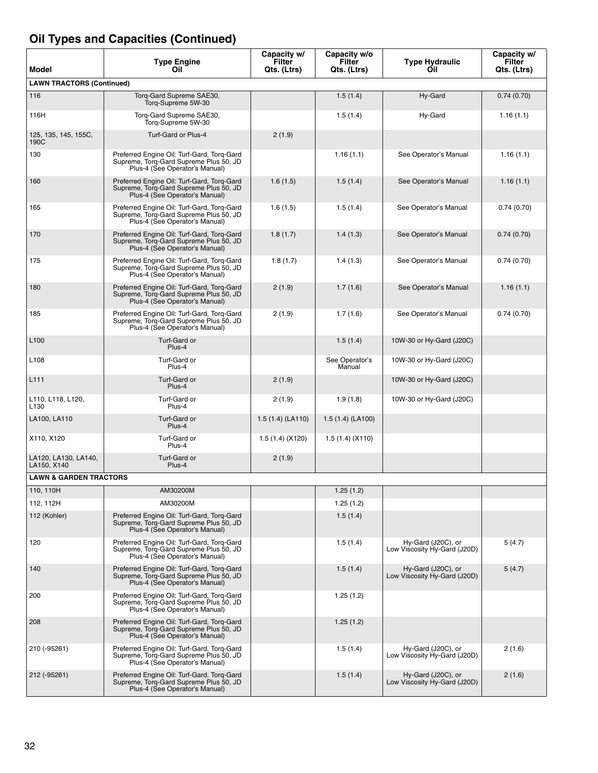| Model                                 | <b>Type Engine</b><br>Oil                                                                                              | Capacity w/<br>Filter<br>Qts. (Ltrs) | Capacity w/o<br>Filter<br>Qts. (Ltrs) | <b>Type Hydraulic</b><br>Oil                       | Capacity w/<br>Filter<br>Qts. (Ltrs) |
|---------------------------------------|------------------------------------------------------------------------------------------------------------------------|--------------------------------------|---------------------------------------|----------------------------------------------------|--------------------------------------|
| <b>LAWN TRACTORS (Continued)</b>      |                                                                                                                        |                                      |                                       |                                                    |                                      |
| 116                                   | Torg-Gard Supreme SAE30,<br>Torg-Supreme 5W-30                                                                         |                                      | 1.5(1.4)                              | Hy-Gard                                            | 0.74(0.70)                           |
| 116H                                  | Torg-Gard Supreme SAE30,<br>Torq-Supreme 5W-30                                                                         |                                      | 1.5(1.4)                              | Hy-Gard                                            | 1.16(1.1)                            |
| 125, 135, 145, 155C,<br>190C          | Turf-Gard or Plus-4                                                                                                    | 2(1.9)                               |                                       |                                                    |                                      |
| 130                                   | Preferred Engine Oil: Turf-Gard, Torg-Gard<br>Supreme, Torg-Gard Supreme Plus 50, JD<br>Plus-4 (See Operator's Manual) |                                      | 1.16(1.1)                             | See Operator's Manual                              | 1.16(1.1)                            |
| 160                                   | Preferred Engine Oil: Turf-Gard, Torq-Gard<br>Supreme, Torg-Gard Supreme Plus 50, JD<br>Plus-4 (See Operator's Manual) | 1.6(1.5)                             | 1.5(1.4)                              | See Operator's Manual                              | 1.16(1.1)                            |
| 165                                   | Preferred Engine Oil: Turf-Gard, Torg-Gard<br>Supreme, Torg-Gard Supreme Plus 50, JD<br>Plus-4 (See Operator's Manual) | 1.6(1.5)                             | 1.5(1.4)                              | See Operator's Manual                              | 0.74(0.70)                           |
| 170                                   | Preferred Engine Oil: Turf-Gard, Torq-Gard<br>Supreme, Torg-Gard Supreme Plus 50, JD<br>Plus-4 (See Operator's Manual) | 1.8(1.7)                             | 1.4(1.3)                              | See Operator's Manual                              | 0.74(0.70)                           |
| 175                                   | Preferred Engine Oil: Turf-Gard, Torq-Gard<br>Supreme, Torg-Gard Supreme Plus 50, JD<br>Plus-4 (See Operator's Manual) | 1.8(1.7)                             | 1.4(1.3)                              | See Operator's Manual                              | 0.74(0.70)                           |
| 180                                   | Preferred Engine Oil: Turf-Gard, Torq-Gard<br>Supreme, Torg-Gard Supreme Plus 50, JD<br>Plus-4 (See Operator's Manual) | 2(1.9)                               | 1.7(1.6)                              | See Operator's Manual                              | 1.16(1.1)                            |
| 185                                   | Preferred Engine Oil: Turf-Gard, Torg-Gard<br>Supreme, Torg-Gard Supreme Plus 50, JD<br>Plus-4 (See Operator's Manual) | 2(1.9)                               | 1.7(1.6)                              | See Operator's Manual                              | 0.74(0.70)                           |
| L <sub>100</sub>                      | Turf-Gard or<br>Plus-4                                                                                                 |                                      | 1.5(1.4)                              | 10W-30 or Hy-Gard (J20C)                           |                                      |
| L <sub>108</sub>                      | Turf-Gard or<br>Plus-4                                                                                                 |                                      | See Operator's<br>Manual              | 10W-30 or Hy-Gard (J20C)                           |                                      |
| L111                                  | Turf-Gard or<br>Plus-4                                                                                                 | 2(1.9)                               |                                       | 10W-30 or Hy-Gard (J20C)                           |                                      |
| L110, L118, L120,<br>L <sub>130</sub> | Turf-Gard or<br>Plus-4                                                                                                 | 2(1.9)                               | 1.9(1.8)                              | 10W-30 or Hy-Gard (J20C)                           |                                      |
| LA100, LA110                          | Turf-Gard or<br>Plus-4                                                                                                 | 1.5(1.4)(LA110)                      | 1.5(1.4)(LA100)                       |                                                    |                                      |
| X110, X120                            | Turf-Gard or<br>Plus-4                                                                                                 | 1.5 (1.4) (X120)                     | 1.5(1.4)(X110)                        |                                                    |                                      |
| LA120, LA130, LA140,<br>LA150, X140   | Turf-Gard or<br>Plus-4                                                                                                 | 2(1.9)                               |                                       |                                                    |                                      |
| <b>LAWN &amp; GARDEN TRACTORS</b>     |                                                                                                                        |                                      |                                       |                                                    |                                      |
| 110, 110H                             | AM30200M                                                                                                               |                                      | 1.25(1.2)                             |                                                    |                                      |
| 112, 112H                             | AM30200M                                                                                                               |                                      | 1.25(1.2)                             |                                                    |                                      |
| 112 (Kohler)                          | Preferred Engine Oil: Turf-Gard, Torq-Gard<br>Supreme, Torq-Gard Supreme Plus 50, JD<br>Plus-4 (See Operator's Manual) |                                      | 1.5(1.4)                              |                                                    |                                      |
| 120                                   | Preferred Engine Oil: Turf-Gard, Torq-Gard<br>Supreme, Torq-Gard Supreme Plus 50, JD<br>Plus-4 (See Operator's Manual) |                                      | 1.5(1.4)                              | Hy-Gard (J20C), or<br>Low Viscosity Hy-Gard (J20D) | 5(4.7)                               |
| 140                                   | Preferred Engine Oil: Turf-Gard, Torq-Gard<br>Supreme, Torq-Gard Supreme Plus 50, JD<br>Plus-4 (See Operator's Manual) |                                      | 1.5(1.4)                              | Hy-Gard (J20C), or<br>Low Viscosity Hy-Gard (J20D) | 5(4.7)                               |
| 200                                   | Preferred Engine Oil: Turf-Gard, Torq-Gard<br>Supreme, Torg-Gard Supreme Plus 50, JD<br>Plus-4 (See Operator's Manual) |                                      | 1.25(1.2)                             |                                                    |                                      |
| 208                                   | Preferred Engine Oil: Turf-Gard, Torq-Gard<br>Supreme, Torq-Gard Supreme Plus 50, JD<br>Plus-4 (See Operator's Manual) |                                      | 1.25(1.2)                             |                                                    |                                      |
| 210 (-95261)                          | Preferred Engine Oil: Turf-Gard, Torq-Gard<br>Supreme, Torg-Gard Supreme Plus 50, JD<br>Plus-4 (See Operator's Manual) |                                      | 1.5(1.4)                              | Hy-Gard (J20C), or<br>Low Viscosity Hy-Gard (J20D) | 2(1.6)                               |
| 212 (-95261)                          | Preferred Engine Oil: Turf-Gard, Torq-Gard<br>Supreme, Torg-Gard Supreme Plus 50, JD<br>Plus-4 (See Operator's Manual) |                                      | 1.5(1.4)                              | Hy-Gard (J20C), or<br>Low Viscosity Hy-Gard (J20D) | 2(1.6)                               |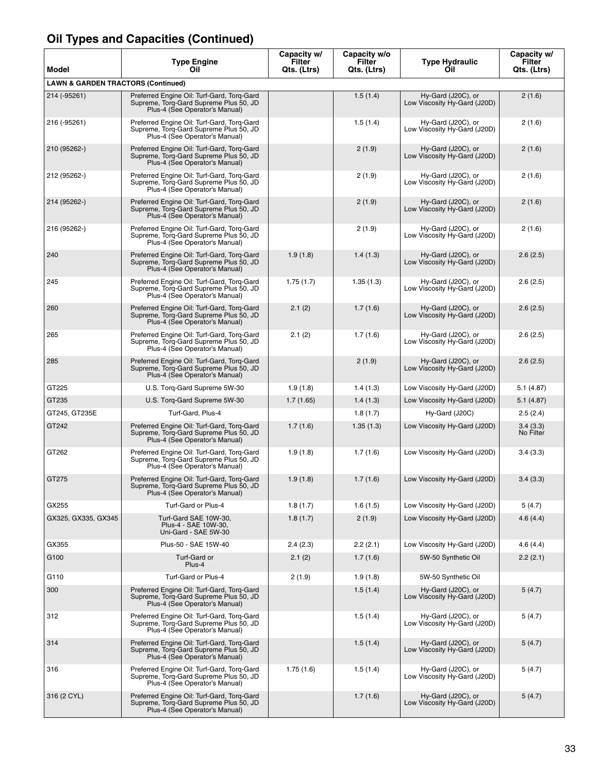| Model                                         | <b>Type Engine</b><br>Oil                                                                                              | Capacity w/<br>Filter<br>Qts. (Ltrs) | Capacity w/o<br><b>Filter</b><br>Qts. (Ltrs) | <b>Type Hydraulic</b><br>Oil                       | Capacity w/<br>Filter<br>Qts. (Ltrs) |
|-----------------------------------------------|------------------------------------------------------------------------------------------------------------------------|--------------------------------------|----------------------------------------------|----------------------------------------------------|--------------------------------------|
| <b>LAWN &amp; GARDEN TRACTORS (Continued)</b> |                                                                                                                        |                                      |                                              |                                                    |                                      |
| 214 (-95261)                                  | Preferred Engine Oil: Turf-Gard, Torq-Gard<br>Supreme, Torq-Gard Supreme Plus 50, JD<br>Plus-4 (See Operator's Manual) |                                      | 1.5(1.4)                                     | Hy-Gard (J20C), or<br>Low Viscosity Hy-Gard (J20D) | 2(1.6)                               |
| 216 (-95261)                                  | Preferred Engine Oil: Turf-Gard, Torq-Gard<br>Supreme, Torq-Gard Supreme Plus 50, JD<br>Plus-4 (See Operator's Manual) |                                      | 1.5(1.4)                                     | Hy-Gard (J20C), or<br>Low Viscosity Hy-Gard (J20D) | 2(1.6)                               |
| 210 (95262-)                                  | Preferred Engine Oil: Turf-Gard, Torq-Gard<br>Supreme, Torq-Gard Supreme Plus 50, JD<br>Plus-4 (See Operator's Manual) |                                      | 2(1.9)                                       | Hy-Gard (J20C), or<br>Low Viscosity Hy-Gard (J20D) | 2(1.6)                               |
| 212 (95262-)                                  | Preferred Engine Oil: Turf-Gard, Torq-Gard<br>Supreme, Torq-Gard Supreme Plus 50, JD<br>Plus-4 (See Operator's Manual) |                                      | 2(1.9)                                       | Hy-Gard (J20C), or<br>Low Viscosity Hy-Gard (J20D) | 2(1.6)                               |
| 214 (95262-)                                  | Preferred Engine Oil: Turf-Gard, Torq-Gard<br>Supreme, Torq-Gard Supreme Plus 50, JD<br>Plus-4 (See Operator's Manual) |                                      | 2(1.9)                                       | Hy-Gard (J20C), or<br>Low Viscosity Hy-Gard (J20D) | 2(1.6)                               |
| 216 (95262-)                                  | Preferred Engine Oil: Turf-Gard, Torq-Gard<br>Supreme, Torq-Gard Supreme Plus 50, JD<br>Plus-4 (See Operator's Manual) |                                      | 2(1.9)                                       | Hy-Gard (J20C), or<br>Low Viscosity Hy-Gard (J20D) | 2(1.6)                               |
| 240                                           | Preferred Engine Oil: Turf-Gard, Torq-Gard<br>Supreme, Torq-Gard Supreme Plus 50, JD<br>Plus-4 (See Operator's Manual) | 1.9(1.8)                             | 1.4(1.3)                                     | Hy-Gard (J20C), or<br>Low Viscosity Hy-Gard (J20D) | 2.6(2.5)                             |
| 245                                           | Preferred Engine Oil: Turf-Gard, Torq-Gard<br>Supreme, Torg-Gard Supreme Plus 50, JD<br>Plus-4 (See Operator's Manual) | 1.75(1.7)                            | 1.35(1.3)                                    | Hy-Gard (J20C), or<br>Low Viscosity Hy-Gard (J20D) | 2.6(2.5)                             |
| 260                                           | Preferred Engine Oil: Turf-Gard, Torq-Gard<br>Supreme, Torq-Gard Supreme Plus 50, JD<br>Plus-4 (See Operator's Manual) | 2.1(2)                               | 1.7(1.6)                                     | Hy-Gard (J20C), or<br>Low Viscosity Hy-Gard (J20D) | 2.6(2.5)                             |
| 265                                           | Preferred Engine Oil: Turf-Gard, Torq-Gard<br>Supreme, Torq-Gard Supreme Plus 50, JD<br>Plus-4 (See Operator's Manual) | 2.1(2)                               | 1.7(1.6)                                     | Hy-Gard (J20C), or<br>Low Viscosity Hy-Gard (J20D) | 2.6(2.5)                             |
| 285                                           | Preferred Engine Oil: Turf-Gard, Torq-Gard<br>Supreme, Torq-Gard Supreme Plus 50, JD<br>Plus-4 (See Operator's Manual) |                                      | 2(1.9)                                       | Hy-Gard (J20C), or<br>Low Viscosity Hy-Gard (J20D) | 2.6(2.5)                             |
| GT225                                         | U.S. Torq-Gard Supreme 5W-30                                                                                           | 1.9(1.8)                             | 1.4(1.3)                                     | Low Viscosity Hy-Gard (J20D)                       | 5.1 (4.87)                           |
| GT235                                         | U.S. Torq-Gard Supreme 5W-30                                                                                           | 1.7(1.65)                            | 1.4(1.3)                                     | Low Viscosity Hy-Gard (J20D)                       | 5.1 (4.87)                           |
| GT245, GT235E                                 | Turf-Gard, Plus-4                                                                                                      |                                      | 1.8(1.7)                                     | Hy-Gard (J20C)                                     | 2.5(2.4)                             |
| GT242                                         | Preferred Engine Oil: Turf-Gard, Torg-Gard<br>Supreme, Torq-Gard Supreme Plus 50, JD<br>Plus-4 (See Operator's Manual) | 1.7(1.6)                             | 1.35(1.3)                                    | Low Viscosity Hy-Gard (J20D)                       | 3.4(3.3)<br>No Filter                |
| GT262                                         | Preferred Engine Oil: Turf-Gard, Torq-Gard<br>Supreme, Torq-Gard Supreme Plus 50, JD<br>Plus-4 (See Operator's Manual) | 1.9(1.8)                             | 1.7(1.6)                                     | Low Viscosity Hy-Gard (J20D)                       | 3.4(3.3)                             |
| GT275                                         | Preferred Engine Oil: Turf-Gard, Torq-Gard<br>Supreme, Torg-Gard Supreme Plus 50, JD<br>Plus-4 (See Operator's Manual) | 1.9(1.8)                             | 1.7(1.6)                                     | Low Viscosity Hy-Gard (J20D)                       | 3.4(3.3)                             |
| GX255                                         | Turf-Gard or Plus-4                                                                                                    | 1.8(1.7)                             | 1.6(1.5)                                     | Low Viscosity Hy-Gard (J20D)                       | 5(4.7)                               |
| GX325, GX335, GX345                           | Turf-Gard SAE 10W-30,<br>Plus-4 - SAE 10W-30,<br>Uni-Gard - SAE 5W-30                                                  | 1.8(1.7)                             | 2(1.9)                                       | Low Viscosity Hy-Gard (J20D)                       | 4.6(4.4)                             |
| GX355                                         | Plus-50 - SAE 15W-40                                                                                                   | 2.4(2.3)                             | 2.2(2.1)                                     | Low Viscosity Hy-Gard (J20D)                       | 4.6(4.4)                             |
| G100                                          | Turf-Gard or<br>Plus-4                                                                                                 | 2.1(2)                               | 1.7(1.6)                                     | 5W-50 Synthetic Oil                                | 2.2(2.1)                             |
| G110                                          | Turf-Gard or Plus-4                                                                                                    | 2(1.9)                               | 1.9(1.8)                                     | 5W-50 Synthetic Oil                                |                                      |
| 300                                           | Preferred Engine Oil: Turf-Gard, Torq-Gard<br>Supreme, Torg-Gard Supreme Plus 50, JD<br>Plus-4 (See Operator's Manual) |                                      | 1.5(1.4)                                     | Hy-Gard (J20C), or<br>Low Viscosity Hy-Gard (J20D) | 5(4.7)                               |
| 312                                           | Preferred Engine Oil: Turf-Gard, Torq-Gard<br>Supreme, Torq-Gard Supreme Plus 50, JD<br>Plus-4 (See Operator's Manual) |                                      | 1.5(1.4)                                     | Hy-Gard (J20C), or<br>Low Viscosity Hy-Gard (J20D) | 5(4.7)                               |
| 314                                           | Preferred Engine Oil: Turf-Gard, Torq-Gard<br>Supreme, Torq-Gard Supreme Plus 50, JD<br>Plus-4 (See Operator's Manual) |                                      | 1.5(1.4)                                     | Hy-Gard (J20C), or<br>Low Viscosity Hy-Gard (J20D) | 5(4.7)                               |
| 316                                           | Preferred Engine Oil: Turf-Gard, Torq-Gard<br>Supreme, Torq-Gard Supreme Plus 50, JD<br>Plus-4 (See Operator's Manual) | 1.75(1.6)                            | 1.5(1.4)                                     | Hy-Gard (J20C), or<br>Low Viscosity Hy-Gard (J20D) | 5(4.7)                               |
| 316 (2 CYL)                                   | Preferred Engine Oil: Turf-Gard, Torq-Gard<br>Supreme, Torq-Gard Supreme Plus 50, JD<br>Plus-4 (See Operator's Manual) |                                      | 1.7(1.6)                                     | Hy-Gard (J20C), or<br>Low Viscosity Hy-Gard (J20D) | 5(4.7)                               |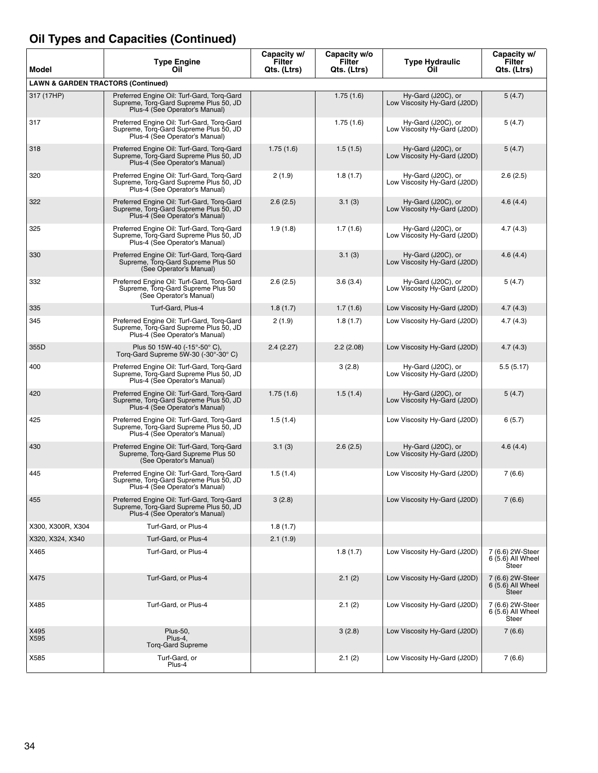| Model                                         | <b>Type Engine</b><br>Oil                                                                                              | Capacity w/<br>Filter<br>Qts. (Ltrs) | Capacity w/o<br><b>Filter</b><br>Qts. (Ltrs) | <b>Type Hydraulic</b><br>Oil                       | Capacity w/<br>Filter<br>Qts. (Ltrs)            |
|-----------------------------------------------|------------------------------------------------------------------------------------------------------------------------|--------------------------------------|----------------------------------------------|----------------------------------------------------|-------------------------------------------------|
| <b>LAWN &amp; GARDEN TRACTORS (Continued)</b> |                                                                                                                        |                                      |                                              |                                                    |                                                 |
| 317 (17HP)                                    | Preferred Engine Oil: Turf-Gard, Torq-Gard<br>Supreme, Torg-Gard Supreme Plus 50, JD<br>Plus-4 (See Operator's Manual) |                                      | 1.75(1.6)                                    | Hy-Gard (J20C), or<br>Low Viscosity Hy-Gard (J20D) | 5(4.7)                                          |
| 317                                           | Preferred Engine Oil: Turf-Gard, Torq-Gard<br>Supreme, Torq-Gard Supreme Plus 50, JD<br>Plus-4 (See Operator's Manual) |                                      | 1.75(1.6)                                    | Hy-Gard (J20C), or<br>Low Viscosity Hy-Gard (J20D) | 5(4.7)                                          |
| 318                                           | Preferred Engine Oil: Turf-Gard, Torq-Gard<br>Supreme, Torq-Gard Supreme Plus 50, JD<br>Plus-4 (See Operator's Manual) | 1.75(1.6)                            | 1.5(1.5)                                     | Hy-Gard (J20C), or<br>Low Viscosity Hy-Gard (J20D) | 5(4.7)                                          |
| 320                                           | Preferred Engine Oil: Turf-Gard, Torq-Gard<br>Supreme, Torq-Gard Supreme Plus 50, JD<br>Plus-4 (See Operator's Manual) | 2(1.9)                               | 1.8(1.7)                                     | Hy-Gard (J20C), or<br>Low Viscosity Hy-Gard (J20D) | 2.6(2.5)                                        |
| 322                                           | Preferred Engine Oil: Turf-Gard, Torg-Gard<br>Supreme, Torg-Gard Supreme Plus 50, JD<br>Plus-4 (See Operator's Manual) | 2.6(2.5)                             | 3.1(3)                                       | Hy-Gard (J20C), or<br>Low Viscosity Hy-Gard (J20D) | 4.6(4.4)                                        |
| 325                                           | Preferred Engine Oil: Turf-Gard, Torq-Gard<br>Supreme, Torq-Gard Supreme Plus 50, JD<br>Plus-4 (See Operator's Manual) | 1.9(1.8)                             | 1.7(1.6)                                     | Hy-Gard (J20C), or<br>Low Viscosity Hy-Gard (J20D) | 4.7(4.3)                                        |
| 330                                           | Preferred Engine Oil: Turf-Gard, Torq-Gard<br>Supreme, Torq-Gard Supreme Plus 50<br>(See Operator's Manual)            |                                      | 3.1(3)                                       | Hy-Gard (J20C), or<br>Low Viscosity Hy-Gard (J20D) | 4.6(4.4)                                        |
| 332                                           | Preferred Engine Oil: Turf-Gard, Torq-Gard<br>Supreme, Torq-Gard Supreme Plus 50<br>(See Operator's Manual)            | 2.6(2.5)                             | 3.6(3.4)                                     | Hy-Gard (J20C), or<br>Low Viscosity Hy-Gard (J20D) | 5(4.7)                                          |
| 335                                           | Turf-Gard, Plus-4                                                                                                      | 1.8(1.7)                             | 1.7(1.6)                                     | Low Viscosity Hy-Gard (J20D)                       | 4.7(4.3)                                        |
| 345                                           | Preferred Engine Oil: Turf-Gard, Torq-Gard<br>Supreme, Torq-Gard Supreme Plus 50, JD<br>Plus-4 (See Operator's Manual) | 2(1.9)                               | 1.8(1.7)                                     | Low Viscosity Hy-Gard (J20D)                       | 4.7(4.3)                                        |
| 355D                                          | Plus 50 15W-40 (-15°-50° C),<br>Torq-Gard Supreme 5W-30 (-30°-30° C)                                                   | 2.4(2.27)                            | 2.2(2.08)                                    | Low Viscosity Hy-Gard (J20D)                       | 4.7(4.3)                                        |
| 400                                           | Preferred Engine Oil: Turf-Gard, Torq-Gard<br>Supreme, Torg-Gard Supreme Plus 50, JD<br>Plus-4 (See Operator's Manual) |                                      | 3(2.8)                                       | Hy-Gard (J20C), or<br>Low Viscosity Hy-Gard (J20D) | 5.5(5.17)                                       |
| 420                                           | Preferred Engine Oil: Turf-Gard, Torq-Gard<br>Supreme, Torq-Gard Supreme Plus 50, JD<br>Plus-4 (See Operator's Manual) | 1.75(1.6)                            | 1.5(1.4)                                     | Hy-Gard (J20C), or<br>Low Viscosity Hy-Gard (J20D) | 5(4.7)                                          |
| 425                                           | Preferred Engine Oil: Turf-Gard, Torq-Gard<br>Supreme, Torq-Gard Supreme Plus 50, JD<br>Plus-4 (See Operator's Manual) | 1.5(1.4)                             |                                              | Low Viscosity Hy-Gard (J20D)                       | 6(5.7)                                          |
| 430                                           | Preferred Engine Oil: Turf-Gard, Torq-Gard<br>Supreme, Torg-Gard Supreme Plus 50<br>(See Operator's Manual)            | 3.1(3)                               | 2.6(2.5)                                     | Hy-Gard (J20C), or<br>Low Viscosity Hy-Gard (J20D) | 4.6(4.4)                                        |
| 445                                           | Preferred Engine Oil: Turf-Gard, Torq-Gard<br>Supreme, Torg-Gard Supreme Plus 50, JD<br>Plus-4 (See Operator's Manual) | 1.5(1.4)                             |                                              | Low Viscosity Hy-Gard (J20D)                       | 7(6.6)                                          |
| 455                                           | Preferred Engine Oil: Turf-Gard, Torq-Gard<br>Supreme, Torg-Gard Supreme Plus 50, JD<br>Plus-4 (See Operator's Manual) | 3(2.8)                               |                                              | Low Viscosity Hy-Gard (J20D)                       | 7(6.6)                                          |
| X300, X300R, X304                             | Turf-Gard, or Plus-4                                                                                                   | 1.8(1.7)                             |                                              |                                                    |                                                 |
| X320, X324, X340                              | Turf-Gard, or Plus-4                                                                                                   | 2.1(1.9)                             |                                              |                                                    |                                                 |
| X465                                          | Turf-Gard, or Plus-4                                                                                                   |                                      | 1.8(1.7)                                     | Low Viscosity Hy-Gard (J20D)                       | 7 (6.6) 2W-Steer<br>$6(5.6)$ All Wheel<br>Steer |
| X475                                          | Turf-Gard, or Plus-4                                                                                                   |                                      | 2.1(2)                                       | Low Viscosity Hy-Gard (J20D)                       | 7 (6.6) 2W-Steer<br>6 (5.6) All Wheel<br>Steer  |
| X485                                          | Turf-Gard, or Plus-4                                                                                                   |                                      | 2.1(2)                                       | Low Viscosity Hy-Gard (J20D)                       | 7 (6.6) 2W-Steer<br>6 (5.6) All Wheel<br>Steer  |
| X495<br>X595                                  | <b>Plus-50,</b><br>Plus-4,<br><b>Torg-Gard Supreme</b>                                                                 |                                      | 3(2.8)                                       | Low Viscosity Hy-Gard (J20D)                       | 7(6.6)                                          |
| X585                                          | Turf-Gard, or<br>Plus-4                                                                                                |                                      | 2.1(2)                                       | Low Viscosity Hy-Gard (J20D)                       | 7(6.6)                                          |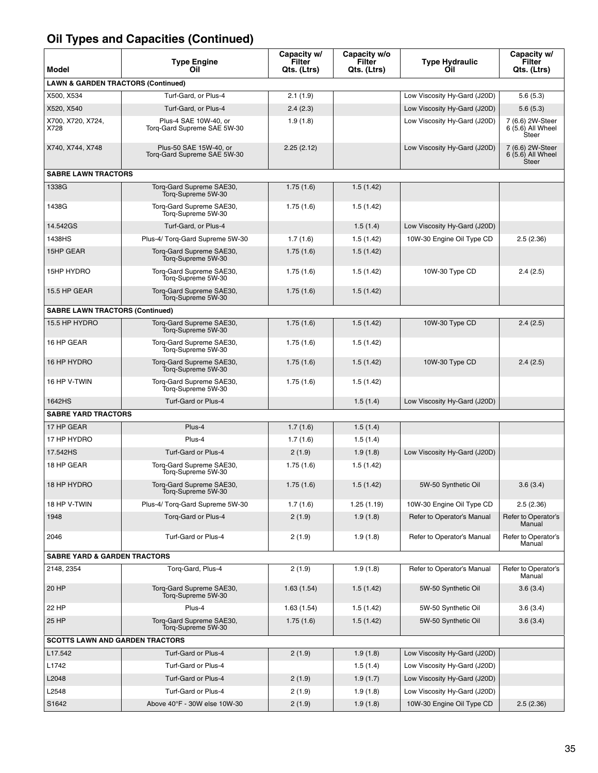| Model                                         | <b>Type Engine</b><br>Oil                             | Capacity w/<br>Filter<br>Qts. (Ltrs) | Capacity w/o<br>Filter<br>Qts. (Ltrs) | <b>Type Hydraulic</b><br>Oil | Capacity w/<br>Filter<br>Qts. (Ltrs)                  |
|-----------------------------------------------|-------------------------------------------------------|--------------------------------------|---------------------------------------|------------------------------|-------------------------------------------------------|
| <b>LAWN &amp; GARDEN TRACTORS (Continued)</b> |                                                       |                                      |                                       |                              |                                                       |
| X500, X534                                    | Turf-Gard, or Plus-4                                  | 2.1(1.9)                             |                                       | Low Viscosity Hy-Gard (J20D) | 5.6(5.3)                                              |
| X520, X540                                    | Turf-Gard, or Plus-4                                  | 2.4(2.3)                             |                                       | Low Viscosity Hy-Gard (J20D) | 5.6(5.3)                                              |
| X700, X720, X724,<br>X728                     | Plus-4 SAE 10W-40, or<br>Torq-Gard Supreme SAE 5W-30  | 1.9(1.8)                             |                                       | Low Viscosity Hy-Gard (J20D) | 7 (6.6) 2W-Steer<br>6 (5.6) All Wheel<br>Steer        |
| X740, X744, X748                              | Plus-50 SAE 15W-40, or<br>Torq-Gard Supreme SAE 5W-30 | 2.25(2.12)                           |                                       | Low Viscosity Hy-Gard (J20D) | 7 (6.6) 2W-Steer<br>6 (5.6) All Wheel<br><b>Steer</b> |
| <b>SABRE LAWN TRACTORS</b>                    |                                                       |                                      |                                       |                              |                                                       |
| 1338G                                         | Torg-Gard Supreme SAE30,<br>Torg-Supreme 5W-30        | 1.75(1.6)                            | 1.5(1.42)                             |                              |                                                       |
| 1438G                                         | Torg-Gard Supreme SAE30,<br>Torg-Supreme 5W-30        | 1.75(1.6)                            | 1.5(1.42)                             |                              |                                                       |
| 14.542GS                                      | Turf-Gard, or Plus-4                                  |                                      | 1.5(1.4)                              | Low Viscosity Hy-Gard (J20D) |                                                       |
| 1438HS                                        | Plus-4/ Torq-Gard Supreme 5W-30                       | 1.7(1.6)                             | 1.5(1.42)                             | 10W-30 Engine Oil Type CD    | 2.5(2.36)                                             |
| 15HP GEAR                                     | Torq-Gard Supreme SAE30,<br>Torg-Supreme 5W-30        | 1.75(1.6)                            | 1.5(1.42)                             |                              |                                                       |
| 15HP HYDRO                                    | Torg-Gard Supreme SAE30,<br>Torg-Supreme 5W-30        | 1.75(1.6)                            | 1.5(1.42)                             | 10W-30 Type CD               | 2.4(2.5)                                              |
| 15.5 HP GEAR                                  | Torg-Gard Supreme SAE30,<br>Torg-Supreme 5W-30        | 1.75(1.6)                            | 1.5(1.42)                             |                              |                                                       |
| <b>SABRE LAWN TRACTORS (Continued)</b>        |                                                       |                                      |                                       |                              |                                                       |
| 15.5 HP HYDRO                                 | Torg-Gard Supreme SAE30,<br>Torg-Supreme 5W-30        | 1.75(1.6)                            | 1.5(1.42)                             | 10W-30 Type CD               | 2.4(2.5)                                              |
| 16 HP GEAR                                    | Torg-Gard Supreme SAE30,<br>Torq-Supreme 5W-30        | 1.75(1.6)                            | 1.5(1.42)                             |                              |                                                       |
| 16 HP HYDRO                                   | Torq-Gard Supreme SAE30,<br>Torg-Supreme 5W-30        | 1.75(1.6)                            | 1.5(1.42)                             | 10W-30 Type CD               | 2.4(2.5)                                              |
| 16 HP V-TWIN                                  | Torq-Gard Supreme SAE30,<br>Torg-Supreme 5W-30        | 1.75(1.6)                            | 1.5(1.42)                             |                              |                                                       |
| 1642HS                                        | Turf-Gard or Plus-4                                   |                                      | 1.5(1.4)                              | Low Viscosity Hy-Gard (J20D) |                                                       |
| <b>SABRE YARD TRACTORS</b>                    |                                                       |                                      |                                       |                              |                                                       |
| 17 HP GEAR                                    | Plus-4                                                | 1.7(1.6)                             | 1.5(1.4)                              |                              |                                                       |
| 17 HP HYDRO                                   | Plus-4                                                | 1.7(1.6)                             | 1.5(1.4)                              |                              |                                                       |
| 17.542HS                                      | Turf-Gard or Plus-4                                   | 2(1.9)                               | 1.9(1.8)                              | Low Viscosity Hy-Gard (J20D) |                                                       |
| 18 HP GEAR                                    | Torg-Gard Supreme SAE30,<br>Torg-Supreme 5W-30        | 1.75(1.6)                            | 1.5(1.42)                             |                              |                                                       |
| 18 HP HYDRO                                   | Torq-Gard Supreme SAE30,<br>Torg-Supreme 5W-30        | 1.75(1.6)                            | 1.5(1.42)                             | 5W-50 Synthetic Oil          | 3.6(3.4)                                              |
| 18 HP V-TWIN                                  | Plus-4/ Torg-Gard Supreme 5W-30                       | 1.7(1.6)                             | 1.25(1.19)                            | 10W-30 Engine Oil Type CD    | 2.5(2.36)                                             |
| 1948                                          | Torg-Gard or Plus-4                                   | 2(1.9)                               | 1.9(1.8)                              | Refer to Operator's Manual   | Refer to Operator's<br>Manual                         |
| 2046                                          | Turf-Gard or Plus-4                                   | 2(1.9)                               | 1.9(1.8)                              | Refer to Operator's Manual   | Refer to Operator's<br>Manual                         |
| <b>SABRE YARD &amp; GARDEN TRACTORS</b>       |                                                       |                                      |                                       |                              |                                                       |
| 2148, 2354                                    | Torq-Gard, Plus-4                                     | 2(1.9)                               | 1.9(1.8)                              | Refer to Operator's Manual   | Refer to Operator's<br>Manual                         |
| 20 HP                                         | Torg-Gard Supreme SAE30,<br>Torq-Supreme 5W-30        | 1.63(1.54)                           | 1.5(1.42)                             | 5W-50 Synthetic Oil          | 3.6(3.4)                                              |
| 22 HP                                         | Plus-4                                                | 1.63(1.54)                           | 1.5(1.42)                             | 5W-50 Synthetic Oil          | 3.6(3.4)                                              |
| 25 HP                                         | Torq-Gard Supreme SAE30,<br>Torq-Supreme 5W-30        | 1.75(1.6)                            | 1.5(1.42)                             | 5W-50 Synthetic Oil          | 3.6(3.4)                                              |
| <b>SCOTTS LAWN AND GARDEN TRACTORS</b>        |                                                       |                                      |                                       |                              |                                                       |
| L17.542                                       | Turf-Gard or Plus-4                                   | 2(1.9)                               | 1.9(1.8)                              | Low Viscosity Hy-Gard (J20D) |                                                       |
| L1742                                         | Turf-Gard or Plus-4                                   |                                      | 1.5(1.4)                              | Low Viscosity Hy-Gard (J20D) |                                                       |
| L2048                                         | Turf-Gard or Plus-4                                   | 2(1.9)                               | 1.9(1.7)                              | Low Viscosity Hy-Gard (J20D) |                                                       |
| L2548                                         | Turf-Gard or Plus-4                                   | 2(1.9)                               | 1.9(1.8)                              | Low Viscosity Hy-Gard (J20D) |                                                       |
| S1642                                         | Above 40°F - 30W else 10W-30                          | 2(1.9)                               | 1.9(1.8)                              | 10W-30 Engine Oil Type CD    | 2.5(2.36)                                             |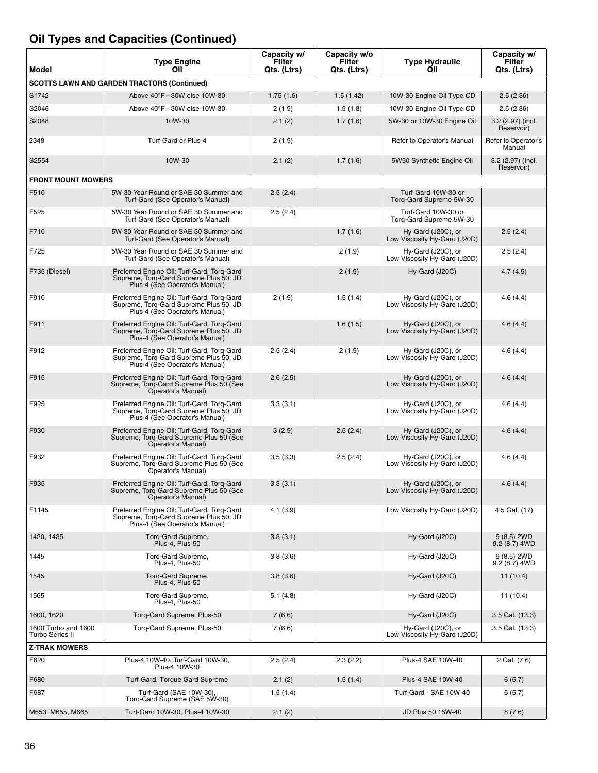| Model                                  | <b>Type Engine</b><br>Oil                                                                                              | Capacity w/<br>Filter<br>Qts. (Ltrs) | Capacity w/o<br><b>Filter</b><br>Qts. (Ltrs) | <b>Type Hydraulic</b><br>Oil                       | Capacity w/<br>Filter<br>Qts. (Ltrs) |
|----------------------------------------|------------------------------------------------------------------------------------------------------------------------|--------------------------------------|----------------------------------------------|----------------------------------------------------|--------------------------------------|
|                                        | <b>SCOTTS LAWN AND GARDEN TRACTORS (Continued)</b>                                                                     |                                      |                                              |                                                    |                                      |
| S1742                                  | Above 40°F - 30W else 10W-30                                                                                           | 1.75(1.6)                            | 1.5(1.42)                                    | 10W-30 Engine Oil Type CD                          | 2.5(2.36)                            |
| S2046                                  | Above 40°F - 30W else 10W-30                                                                                           | 2(1.9)                               | 1.9(1.8)                                     | 10W-30 Engine Oil Type CD                          | 2.5(2.36)                            |
| S2048                                  | 10W-30                                                                                                                 | 2.1(2)                               | 1.7(1.6)                                     | 5W-30 or 10W-30 Engine Oil                         | 3.2 (2.97) (incl.<br>Reservoir)      |
| 2348                                   | Turf-Gard or Plus-4                                                                                                    | 2(1.9)                               |                                              | Refer to Operator's Manual                         | Refer to Operator's<br>Manual        |
| S2554                                  | 10W-30                                                                                                                 | 2.1(2)                               | 1.7(1.6)                                     | 5W50 Synthetic Engine Oil                          | 3.2 (2.97) (Incl.<br>Reservoir)      |
| <b>FRONT MOUNT MOWERS</b>              |                                                                                                                        |                                      |                                              |                                                    |                                      |
| F510                                   | 5W-30 Year Round or SAE 30 Summer and<br>Turf-Gard (See Operator's Manual)                                             | 2.5(2.4)                             |                                              | Turf-Gard 10W-30 or<br>Torq-Gard Supreme 5W-30     |                                      |
| F525                                   | 5W-30 Year Round or SAE 30 Summer and<br>Turf-Gard (See Operator's Manual)                                             | 2.5(2.4)                             |                                              | Turf-Gard 10W-30 or<br>Torg-Gard Supreme 5W-30     |                                      |
| F710                                   | 5W-30 Year Round or SAE 30 Summer and<br>Turf-Gard (See Operator's Manual)                                             |                                      | 1.7(1.6)                                     | Hy-Gard (J20C), or<br>Low Viscosity Hy-Gard (J20D) | 2.5(2.4)                             |
| F725                                   | 5W-30 Year Round or SAE 30 Summer and<br>Turf-Gard (See Operator's Manual)                                             |                                      | 2(1.9)                                       | Hy-Gard (J20C), or<br>Low Viscosity Hy-Gard (J20D) | 2.5(2.4)                             |
| F735 (Diesel)                          | Preferred Engine Oil: Turf-Gard, Torg-Gard<br>Supreme, Torg-Gard Supreme Plus 50, JD<br>Plus-4 (See Operator's Manual) |                                      | 2(1.9)                                       | Hy-Gard (J20C)                                     | 4.7(4.5)                             |
| F910                                   | Preferred Engine Oil: Turf-Gard, Torq-Gard<br>Supreme, Torg-Gard Supreme Plus 50, JD<br>Plus-4 (See Operator's Manual) | 2(1.9)                               | 1.5(1.4)                                     | Hy-Gard (J20C), or<br>Low Viscosity Hy-Gard (J20D) | 4.6(4.4)                             |
| F911                                   | Preferred Engine Oil: Turf-Gard, Torg-Gard<br>Supreme, Torq-Gard Supreme Plus 50, JD<br>Plus-4 (See Operator's Manual) |                                      | 1.6(1.5)                                     | Hy-Gard (J20C), or<br>Low Viscosity Hy-Gard (J20D) | 4.6(4.4)                             |
| F912                                   | Preferred Engine Oil: Turf-Gard, Torq-Gard<br>Supreme, Torq-Gard Supreme Plus 50, JD<br>Plus-4 (See Operator's Manual) | 2.5(2.4)                             | 2(1.9)                                       | Hy-Gard (J20C), or<br>Low Viscosity Hy-Gard (J20D) | 4.6(4.4)                             |
| F915                                   | Preferred Engine Oil: Turf-Gard, Torq-Gard<br>Supreme, Torq-Gard Supreme Plus 50 (See<br>Operator's Manual)            | 2.6(2.5)                             |                                              | Hy-Gard (J20C), or<br>Low Viscosity Hy-Gard (J20D) | 4.6(4.4)                             |
| F925                                   | Preferred Engine Oil: Turf-Gard, Torq-Gard<br>Supreme, Torq-Gard Supreme Plus 50, JD<br>Plus-4 (See Operator's Manual) | 3.3(3.1)                             |                                              | Hy-Gard (J20C), or<br>Low Viscosity Hy-Gard (J20D) | 4.6(4.4)                             |
| F930                                   | Preferred Engine Oil: Turf-Gard, Torg-Gard<br>Supreme, Torq-Gard Supreme Plus 50 (See<br>Operator's Manual)            | 3(2.9)                               | 2.5(2.4)                                     | Hy-Gard (J20C), or<br>Low Viscosity Hy-Gard (J20D) | 4.6(4.4)                             |
| F932                                   | Preferred Engine Oil: Turf-Gard, Torq-Gard<br>Supreme, Torq-Gard Supreme Plus 50 (See<br>Operator's Manual)            | 3.5(3.3)                             | 2.5(2.4)                                     | Hy-Gard (J20C), or<br>Low Viscosity Hy-Gard (J20D) | 4.6(4.4)                             |
| F935                                   | Preferred Engine Oil: Turf-Gard, Torq-Gard<br>Supreme, Torq-Gard Supreme Plus 50 (See<br>Operator's Manual)            | 3.3(3.1)                             |                                              | Hy-Gard (J20C), or<br>Low Viscosity Hy-Gard (J20D) | 4.6(4.4)                             |
| F1145                                  | Preferred Engine Oil: Turf-Gard, Torg-Gard<br>Supreme, Torg-Gard Supreme Plus 50, JD<br>Plus-4 (See Operator's Manual) | 4.1(3.9)                             |                                              | Low Viscosity Hy-Gard (J20D)                       | 4.5 Gal. (17)                        |
| 1420, 1435                             | Torq-Gard Supreme,<br>Plus-4, Plus-50                                                                                  | 3.3(3.1)                             |                                              | Hy-Gard (J20C)                                     | 9(8.5) 2WD<br>$9.2(8.7)$ 4WD         |
| 1445                                   | Torq-Gard Supreme,<br>Plus-4, Plus-50                                                                                  | 3.8(3.6)                             |                                              | Hy-Gard (J20C)                                     | 9 (8.5) 2WD<br>9.2 (8.7) 4WD         |
| 1545                                   | Torq-Gard Supreme,<br>Plus-4, Plus-50                                                                                  | 3.8(3.6)                             |                                              | Hy-Gard (J20C)                                     | 11(10.4)                             |
| 1565                                   | Torq-Gard Supreme,<br>Plus-4, Plus-50                                                                                  | 5.1(4.8)                             |                                              | Hy-Gard (J20C)                                     | 11(10.4)                             |
| 1600, 1620                             | Torq-Gard Supreme, Plus-50                                                                                             | 7 (6.6)                              |                                              | Hy-Gard (J20C)                                     | 3.5 Gal. (13.3)                      |
| 1600 Turbo and 1600<br>Turbo Series II | Torq-Gard Supreme, Plus-50                                                                                             | 7 (6.6)                              |                                              | Hy-Gard (J20C), or<br>Low Viscosity Hy-Gard (J20D) | 3.5 Gal. (13.3)                      |
| <b>Z-TRAK MOWERS</b>                   |                                                                                                                        |                                      |                                              |                                                    |                                      |
| F620                                   | Plus-4 10W-40, Turf-Gard 10W-30,<br>Plus-4 10W-30                                                                      | 2.5(2.4)                             | 2.3(2.2)                                     | Plus-4 SAE 10W-40                                  | 2 Gal. (7.6)                         |
| F680                                   | Turf-Gard, Torque Gard Supreme                                                                                         | 2.1(2)                               | 1.5(1.4)                                     | Plus-4 SAE 10W-40                                  | 6(5.7)                               |
| F687                                   | Turf-Gard (SAE 10W-30),<br>Torg-Gard Supreme (SAE 5W-30)                                                               | 1.5(1.4)                             |                                              | Turf-Gard - SAE 10W-40                             | 6(5.7)                               |
| M653, M655, M665                       | Turf-Gard 10W-30, Plus-4 10W-30                                                                                        | 2.1(2)                               |                                              | JD Plus 50 15W-40                                  | 8(7.6)                               |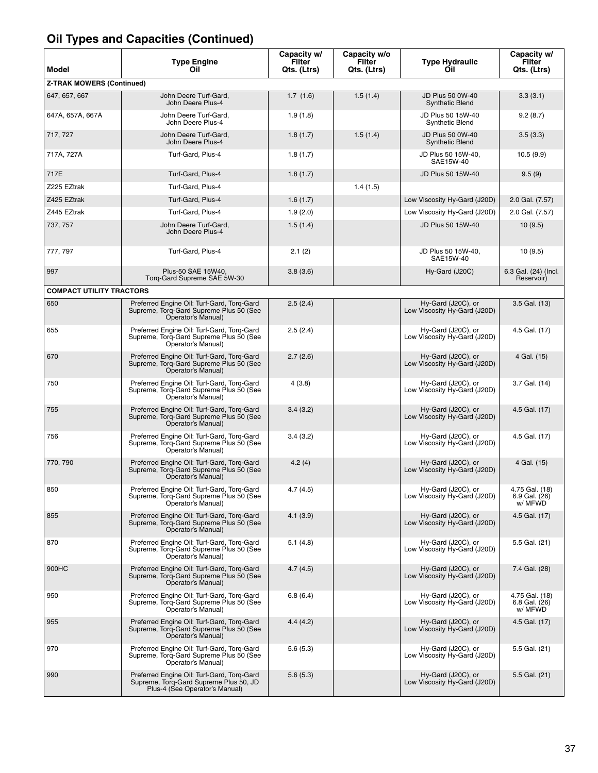| Model                            | <b>Type Engine</b><br>Oil                                                                                              | Capacity w/<br>Filter<br>Qts. (Ltrs) | Capacity w/o<br>Filter<br>Qts. (Ltrs) | <b>Type Hydraulic</b><br>Oil                       | Capacity w/<br>Filter<br>Qts. (Ltrs)         |
|----------------------------------|------------------------------------------------------------------------------------------------------------------------|--------------------------------------|---------------------------------------|----------------------------------------------------|----------------------------------------------|
| <b>Z-TRAK MOWERS (Continued)</b> |                                                                                                                        |                                      |                                       |                                                    |                                              |
| 647, 657, 667                    | John Deere Turf-Gard,<br>John Deere Plus-4                                                                             | 1.7(1.6)                             | 1.5(1.4)                              | JD Plus 50 0W-40<br><b>Synthetic Blend</b>         | 3.3(3.1)                                     |
| 647A, 657A, 667A                 | John Deere Turf-Gard,<br>John Deere Plus-4                                                                             | 1.9(1.8)                             |                                       | JD Plus 50 15W-40<br>Synthetic Blend               | 9.2(8.7)                                     |
| 717, 727                         | John Deere Turf-Gard,<br>John Deere Plus-4                                                                             | 1.8(1.7)                             | 1.5(1.4)                              | JD Plus 50 0W-40<br><b>Synthetic Blend</b>         | 3.5(3.3)                                     |
| 717A, 727A                       | Turf-Gard, Plus-4                                                                                                      | 1.8(1.7)                             |                                       | JD Plus 50 15W-40,<br>SAE15W-40                    | 10.5(9.9)                                    |
| 717E                             | Turf-Gard, Plus-4                                                                                                      | 1.8(1.7)                             |                                       | JD Plus 50 15W-40                                  | 9.5(9)                                       |
| Z225 EZtrak                      | Turf-Gard, Plus-4                                                                                                      |                                      | 1.4(1.5)                              |                                                    |                                              |
| Z425 EZtrak                      | Turf-Gard, Plus-4                                                                                                      | 1.6(1.7)                             |                                       | Low Viscosity Hy-Gard (J20D)                       | 2.0 Gal. (7.57)                              |
| Z445 EZtrak                      | Turf-Gard, Plus-4                                                                                                      | 1.9(2.0)                             |                                       | Low Viscosity Hy-Gard (J20D)                       | 2.0 Gal. (7.57)                              |
| 737, 757                         | John Deere Turf-Gard,<br>John Deere Plus-4                                                                             | 1.5(1.4)                             |                                       | JD Plus 50 15W-40                                  | 10(9.5)                                      |
| 777, 797                         | Turf-Gard, Plus-4                                                                                                      | 2.1(2)                               |                                       | JD Plus 50 15W-40,<br>SAE15W-40                    | 10(9.5)                                      |
| 997                              | Plus-50 SAE 15W40.<br>Torg-Gard Supreme SAE 5W-30                                                                      | 3.8(3.6)                             |                                       | Hy-Gard (J20C)                                     | 6.3 Gal. (24) (Incl.<br>Reservoir)           |
| <b>COMPACT UTILITY TRACTORS</b>  |                                                                                                                        |                                      |                                       |                                                    |                                              |
| 650                              | Preferred Engine Oil: Turf-Gard, Torq-Gard<br>Supreme, Torg-Gard Supreme Plus 50 (See<br>Operator's Manual)            | 2.5(2.4)                             |                                       | Hy-Gard (J20C), or<br>Low Viscosity Hy-Gard (J20D) | 3.5 Gal. (13)                                |
| 655                              | Preferred Engine Oil: Turf-Gard, Torq-Gard<br>Supreme, Torg-Gard Supreme Plus 50 (See<br>Operator's Manual)            | 2.5(2.4)                             |                                       | Hy-Gard (J20C), or<br>Low Viscosity Hy-Gard (J20D) | 4.5 Gal. (17)                                |
| 670                              | Preferred Engine Oil: Turf-Gard, Torq-Gard<br>Supreme, Torq-Gard Supreme Plus 50 (See<br>Operator's Manual)            | 2.7(2.6)                             |                                       | Hy-Gard (J20C), or<br>Low Viscosity Hy-Gard (J20D) | 4 Gal. (15)                                  |
| 750                              | Preferred Engine Oil: Turf-Gard, Torq-Gard<br>Supreme, Torq-Gard Supreme Plus 50 (See<br>Operator's Manual)            | 4(3.8)                               |                                       | Hy-Gard (J20C), or<br>Low Viscosity Hy-Gard (J20D) | 3.7 Gal. (14)                                |
| 755                              | Preferred Engine Oil: Turf-Gard, Torg-Gard<br>Supreme, Torg-Gard Supreme Plus 50 (See<br>Operator's Manual)            | 3.4(3.2)                             |                                       | Hy-Gard (J20C), or<br>Low Viscosity Hy-Gard (J20D) | 4.5 Gal. (17)                                |
| 756                              | Preferred Engine Oil: Turf-Gard, Torg-Gard<br>Supreme, Torg-Gard Supreme Plus 50 (See<br>Operator's Manual)            | 3.4(3.2)                             |                                       | Hy-Gard (J20C), or<br>Low Viscosity Hy-Gard (J20D) | 4.5 Gal. (17)                                |
| 770, 790                         | Preferred Engine Oil: Turf-Gard, Torg-Gard<br>Supreme, Torq-Gard Supreme Plus 50 (See<br>Operator's Manual)            | 4.2(4)                               |                                       | Hy-Gard (J20C), or<br>Low Viscosity Hy-Gard (J20D) | 4 Gal. (15)                                  |
| 850                              | Preferred Engine Oil: Turf-Gard, Torq-Gard<br>Supreme, Torg-Gard Supreme Plus 50 (See<br>Operator's Manual)            | 4.7 (4.5)                            |                                       | Hy-Gard (J20C), or<br>Low Viscosity Hy-Gard (J20D) | 4.75 Gal. (18)<br>6.9 Gal. $(26)$<br>w/ MFWD |
| 855                              | Preferred Engine Oil: Turf-Gard, Torq-Gard<br>Supreme, Torq-Gard Supreme Plus 50 (See<br>Operator's Manual)            | 4.1(3.9)                             |                                       | Hy-Gard (J20C), or<br>Low Viscosity Hy-Gard (J20D) | 4.5 Gal. (17)                                |
| 870                              | Preferred Engine Oil: Turf-Gard, Torq-Gard<br>Supreme, Torq-Gard Supreme Plus 50 (See<br>Operator's Manual)            | 5.1(4.8)                             |                                       | Hy-Gard (J20C), or<br>Low Viscosity Hy-Gard (J20D) | 5.5 Gal. (21)                                |
| 900HC                            | Preferred Engine Oil: Turf-Gard, Torg-Gard<br>Supreme, Torg-Gard Supreme Plus 50 (See<br>Operator's Manual)            | 4.7(4.5)                             |                                       | Hy-Gard (J20C), or<br>Low Viscosity Hy-Gard (J20D) | 7.4 Gal. (28)                                |
| 950                              | Preferred Engine Oil: Turf-Gard, Torq-Gard<br>Supreme, Torg-Gard Supreme Plus 50 (See<br>Operator's Manual)            | 6.8(6.4)                             |                                       | Hy-Gard (J20C), or<br>Low Viscosity Hy-Gard (J20D) | 4.75 Gal. (18)<br>6.8 Gal. (26)<br>w/ MFWD   |
| 955                              | Preferred Engine Oil: Turf-Gard, Torq-Gard<br>Supreme, Torq-Gard Supreme Plus 50 (See<br>Operator's Manual)            | 4.4(4.2)                             |                                       | Hy-Gard (J20C), or<br>Low Viscosity Hy-Gard (J20D) | 4.5 Gal. (17)                                |
| 970                              | Preferred Engine Oil: Turf-Gard, Torq-Gard<br>Supreme, Torg-Gard Supreme Plus 50 (See<br>Operator's Manual)            | 5.6(5.3)                             |                                       | Hy-Gard (J20C), or<br>Low Viscosity Hy-Gard (J20D) | 5.5 Gal. (21)                                |
| 990                              | Preferred Engine Oil: Turf-Gard, Torq-Gard<br>Supreme, Torg-Gard Supreme Plus 50, JD<br>Plus-4 (See Operator's Manual) | 5.6(5.3)                             |                                       | Hy-Gard (J20C), or<br>Low Viscosity Hy-Gard (J20D) | 5.5 Gal. (21)                                |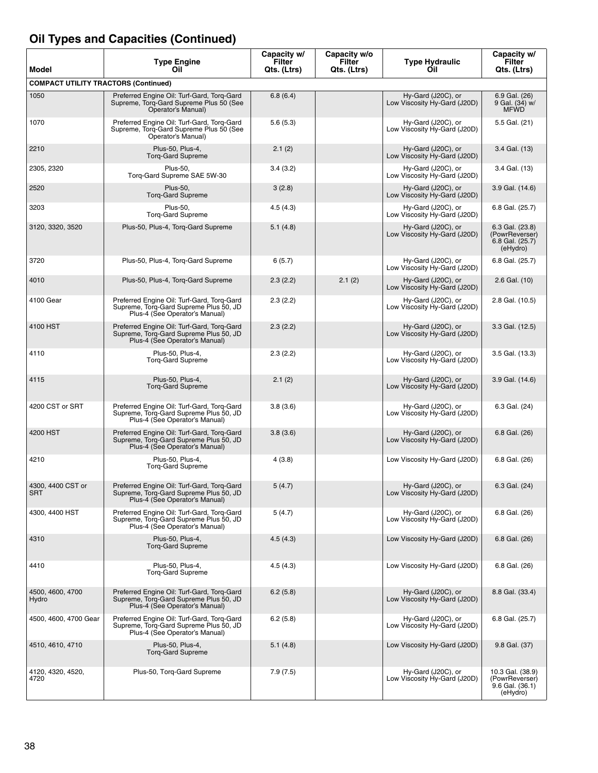| Model                                       | <b>Type Engine</b><br>Oil                                                                                              | Capacity w/<br>Filter<br>Qts. (Ltrs) | Capacity w/o<br><b>Filter</b><br>Qts. (Ltrs) | <b>Type Hydraulic</b><br>Oil                       | Capacity w/<br>Filter<br>Qts. (Ltrs)                              |
|---------------------------------------------|------------------------------------------------------------------------------------------------------------------------|--------------------------------------|----------------------------------------------|----------------------------------------------------|-------------------------------------------------------------------|
| <b>COMPACT UTILITY TRACTORS (Continued)</b> |                                                                                                                        |                                      |                                              |                                                    |                                                                   |
| 1050                                        | Preferred Engine Oil: Turf-Gard, Torq-Gard<br>Supreme. Torg-Gard Supreme Plus 50 (See<br>Operator's Manual)            | 6.8(6.4)                             |                                              | Hy-Gard (J20C), or<br>Low Viscosity Hy-Gard (J20D) | 6.9 Gal. (26)<br>9 Gal. (34) w/<br><b>MFWD</b>                    |
| 1070                                        | Preferred Engine Oil: Turf-Gard, Torq-Gard<br>Supreme, Torq-Gard Supreme Plus 50 (See<br>Operator's Manual)            | 5.6(5.3)                             |                                              | Hy-Gard (J20C), or<br>Low Viscosity Hy-Gard (J20D) | 5.5 Gal. (21)                                                     |
| 2210                                        | Plus-50, Plus-4,<br><b>Torg-Gard Supreme</b>                                                                           | 2.1(2)                               |                                              | Hy-Gard (J20C), or<br>Low Viscosity Hy-Gard (J20D) | 3.4 Gal. (13)                                                     |
| 2305, 2320                                  | <b>Plus-50,</b><br>Torg-Gard Supreme SAE 5W-30                                                                         | 3.4(3.2)                             |                                              | Hy-Gard (J20C), or<br>Low Viscosity Hy-Gard (J20D) | 3.4 Gal. (13)                                                     |
| 2520                                        | <b>Plus-50,</b><br><b>Torg-Gard Supreme</b>                                                                            | 3(2.8)                               |                                              | Hy-Gard (J20C), or<br>Low Viscosity Hy-Gard (J20D) | 3.9 Gal. (14.6)                                                   |
| 3203                                        | <b>Plus-50,</b><br><b>Torg-Gard Supreme</b>                                                                            | 4.5(4.3)                             |                                              | Hy-Gard (J20C), or<br>Low Viscosity Hy-Gard (J20D) | 6.8 Gal. (25.7)                                                   |
| 3120, 3320, 3520                            | Plus-50, Plus-4, Torq-Gard Supreme                                                                                     | 5.1(4.8)                             |                                              | Hy-Gard (J20C), or<br>Low Viscosity Hy-Gard (J20D) | 6.3 Gal. (23.8)<br>(PowrReverser)<br>6.8 Gal. (25.7)<br>(eHydro)  |
| 3720                                        | Plus-50, Plus-4, Torq-Gard Supreme                                                                                     | 6(5.7)                               |                                              | Hy-Gard (J20C), or<br>Low Viscosity Hy-Gard (J20D) | 6.8 Gal. (25.7)                                                   |
| 4010                                        | Plus-50, Plus-4, Torq-Gard Supreme                                                                                     | 2.3(2.2)                             | 2.1(2)                                       | Hy-Gard (J20C), or<br>Low Viscosity Hy-Gard (J20D) | 2.6 Gal. (10)                                                     |
| 4100 Gear                                   | Preferred Engine Oil: Turf-Gard, Torg-Gard<br>Supreme, Torg-Gard Supreme Plus 50, JD<br>Plus-4 (See Operator's Manual) | 2.3(2.2)                             |                                              | Hy-Gard (J20C), or<br>Low Viscosity Hy-Gard (J20D) | 2.8 Gal. (10.5)                                                   |
| 4100 HST                                    | Preferred Engine Oil: Turf-Gard, Torq-Gard<br>Supreme, Torg-Gard Supreme Plus 50, JD<br>Plus-4 (See Operator's Manual) | 2.3(2.2)                             |                                              | Hy-Gard (J20C), or<br>Low Viscosity Hy-Gard (J20D) | 3.3 Gal. (12.5)                                                   |
| 4110                                        | Plus-50, Plus-4,<br><b>Torg-Gard Supreme</b>                                                                           | 2.3(2.2)                             |                                              | Hy-Gard (J20C), or<br>Low Viscosity Hy-Gard (J20D) | 3.5 Gal. (13.3)                                                   |
| 4115                                        | Plus-50, Plus-4,<br><b>Torg-Gard Supreme</b>                                                                           | 2.1(2)                               |                                              | Hy-Gard (J20C), or<br>Low Viscosity Hy-Gard (J20D) | 3.9 Gal. (14.6)                                                   |
| 4200 CST or SRT                             | Preferred Engine Oil: Turf-Gard, Torq-Gard<br>Supreme, Torq-Gard Supreme Plus 50, JD<br>Plus-4 (See Operator's Manual) | 3.8(3.6)                             |                                              | Hy-Gard (J20C), or<br>Low Viscosity Hy-Gard (J20D) | 6.3 Gal. (24)                                                     |
| 4200 HST                                    | Preferred Engine Oil: Turf-Gard, Torg-Gard<br>Supreme, Torq-Gard Supreme Plus 50, JD<br>Plus-4 (See Operator's Manual) | 3.8(3.6)                             |                                              | Hy-Gard (J20C), or<br>Low Viscosity Hy-Gard (J20D) | 6.8 Gal. (26)                                                     |
| 4210                                        | Plus-50, Plus-4,<br><b>Torq-Gard Supreme</b>                                                                           | 4(3.8)                               |                                              | Low Viscosity Hy-Gard (J20D)                       | 6.8 Gal. (26)                                                     |
| 4300, 4400 CST or<br><b>SRT</b>             | Preferred Engine Oil: Turf-Gard, Torg-Gard<br>Supreme, Torq-Gard Supreme Plus 50, JD<br>Plus-4 (See Operator's Manual) | 5(4.7)                               |                                              | Hy-Gard (J20C), or<br>Low Viscosity Hy-Gard (J20D) | 6.3 Gal. (24)                                                     |
| 4300, 4400 HST                              | Preferred Engine Oil: Turf-Gard, Torq-Gard<br>Supreme, Torg-Gard Supreme Plus 50, JD<br>Plus-4 (See Operator's Manual) | 5(4.7)                               |                                              | Hy-Gard (J20C), or<br>Low Viscosity Hy-Gard (J20D) | 6.8 Gal. (26)                                                     |
| 4310                                        | Plus-50, Plus-4,<br><b>Torg-Gard Supreme</b>                                                                           | 4.5(4.3)                             |                                              | Low Viscosity Hy-Gard (J20D)                       | 6.8 Gal. (26)                                                     |
| 4410                                        | Plus-50, Plus-4,<br><b>Torg-Gard Supreme</b>                                                                           | 4.5(4.3)                             |                                              | Low Viscosity Hy-Gard (J20D)                       | 6.8 Gal. (26)                                                     |
| 4500, 4600, 4700<br>Hydro                   | Preferred Engine Oil: Turf-Gard, Torg-Gard<br>Supreme, Torg-Gard Supreme Plus 50, JD<br>Plus-4 (See Operator's Manual) | 6.2(5.8)                             |                                              | Hy-Gard (J20C), or<br>Low Viscosity Hy-Gard (J20D) | 8.8 Gal. (33.4)                                                   |
| 4500, 4600, 4700 Gear                       | Preferred Engine Oil: Turf-Gard, Torq-Gard<br>Supreme, Torg-Gard Supreme Plus 50, JD<br>Plus-4 (See Operator's Manual) | 6.2(5.8)                             |                                              | Hy-Gard (J20C), or<br>Low Viscosity Hy-Gard (J20D) | 6.8 Gal. (25.7)                                                   |
| 4510, 4610, 4710                            | Plus-50, Plus-4,<br><b>Torq-Gard Supreme</b>                                                                           | 5.1(4.8)                             |                                              | Low Viscosity Hy-Gard (J20D)                       | 9.8 Gal. (37)                                                     |
| 4120, 4320, 4520,<br>4720                   | Plus-50, Torq-Gard Supreme                                                                                             | 7.9(7.5)                             |                                              | Hy-Gard (J20C), or<br>Low Viscosity Hy-Gard (J20D) | 10.3 Gal. (38.9)<br>(PowrReverser)<br>9.6 Gal. (36.1)<br>(eHydro) |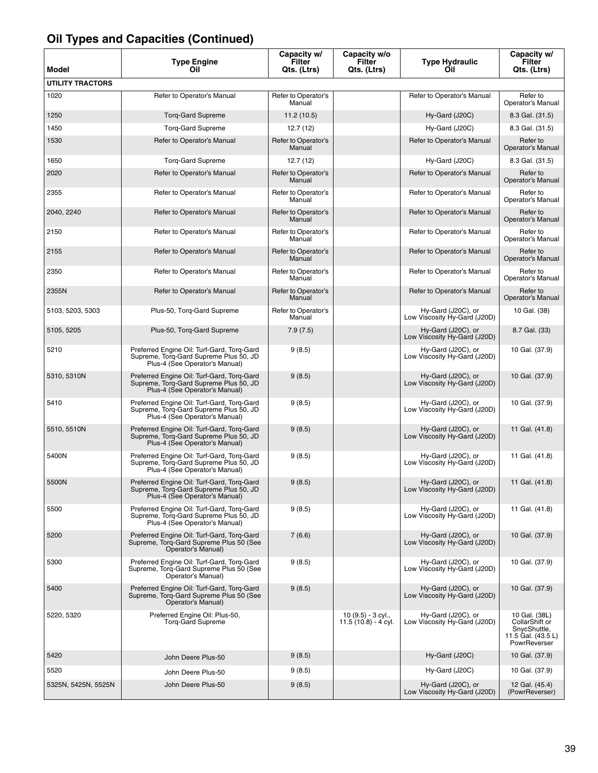| <b>Model</b>            | <b>Type Engine</b><br>Oil                                                                                              | Capacity w/<br>Filter<br>Qts. (Ltrs) | Capacity w/o<br>Filter<br>Qts. (Ltrs)      | <b>Type Hydraulic</b><br>Oil                       | Capacity w/<br>Filter<br>Qts. (Ltrs)                                                  |
|-------------------------|------------------------------------------------------------------------------------------------------------------------|--------------------------------------|--------------------------------------------|----------------------------------------------------|---------------------------------------------------------------------------------------|
| <b>UTILITY TRACTORS</b> |                                                                                                                        |                                      |                                            |                                                    |                                                                                       |
| 1020                    | Refer to Operator's Manual                                                                                             | Refer to Operator's<br>Manual        |                                            | Refer to Operator's Manual                         | Refer to<br>Operator's Manual                                                         |
| 1250                    | <b>Torg-Gard Supreme</b>                                                                                               | 11.2(10.5)                           |                                            | Hy-Gard (J20C)                                     | 8.3 Gal. (31.5)                                                                       |
| 1450                    | <b>Torg-Gard Supreme</b>                                                                                               | 12.7 (12)                            |                                            | Hy-Gard (J20C)                                     | 8.3 Gal. (31.5)                                                                       |
| 1530                    | Refer to Operator's Manual                                                                                             | Refer to Operator's<br>Manual        |                                            | Refer to Operator's Manual                         | Refer to<br>Operator's Manual                                                         |
| 1650                    | <b>Torg-Gard Supreme</b>                                                                                               | 12.7(12)                             |                                            | Hy-Gard (J20C)                                     | 8.3 Gal. (31.5)                                                                       |
| 2020                    | Refer to Operator's Manual                                                                                             | Refer to Operator's<br>Manual        |                                            | Refer to Operator's Manual                         | Refer to<br>Operator's Manual                                                         |
| 2355                    | Refer to Operator's Manual                                                                                             | Refer to Operator's<br>Manual        |                                            | Refer to Operator's Manual                         | Refer to<br>Operator's Manual                                                         |
| 2040, 2240              | Refer to Operator's Manual                                                                                             | Refer to Operator's<br>Manual        |                                            | Refer to Operator's Manual                         | Refer to<br>Operator's Manual                                                         |
| 2150                    | Refer to Operator's Manual                                                                                             | Refer to Operator's<br>Manual        |                                            | Refer to Operator's Manual                         | Refer to<br>Operator's Manual                                                         |
| 2155                    | Refer to Operator's Manual                                                                                             | Refer to Operator's<br>Manual        |                                            | Refer to Operator's Manual                         | Refer to<br>Operator's Manual                                                         |
| 2350                    | Refer to Operator's Manual                                                                                             | Refer to Operator's<br>Manual        |                                            | Refer to Operator's Manual                         | Refer to<br>Operator's Manual                                                         |
| 2355N                   | Refer to Operator's Manual                                                                                             | Refer to Operator's<br>Manual        |                                            | Refer to Operator's Manual                         | Refer to<br>Operator's Manual                                                         |
| 5103, 5203, 5303        | Plus-50, Torg-Gard Supreme                                                                                             | Refer to Operator's<br>Manual        |                                            | Hy-Gard (J20C), or<br>Low Viscosity Hy-Gard (J20D) | 10 Gal. (38)                                                                          |
| 5105, 5205              | Plus-50, Torq-Gard Supreme                                                                                             | 7.9(7.5)                             |                                            | Hy-Gard (J20C), or<br>Low Viscosity Hy-Gard (J20D) | 8.7 Gal. (33)                                                                         |
| 5210                    | Preferred Engine Oil: Turf-Gard, Torg-Gard<br>Supreme, Torq-Gard Supreme Plus 50, JD<br>Plus-4 (See Operator's Manual) | 9(8.5)                               |                                            | Hy-Gard (J20C), or<br>Low Viscosity Hy-Gard (J20D) | 10 Gal. (37.9)                                                                        |
| 5310, 5310N             | Preferred Engine Oil: Turf-Gard, Torq-Gard<br>Supreme, Torg-Gard Supreme Plus 50, JD<br>Plus-4 (See Operator's Manual) | 9(8.5)                               |                                            | Hy-Gard (J20C), or<br>Low Viscosity Hy-Gard (J20D) | 10 Gal. (37.9)                                                                        |
| 5410                    | Preferred Engine Oil: Turf-Gard, Torq-Gard<br>Supreme, Torq-Gard Supreme Plus 50, JD<br>Plus-4 (See Operator's Manual) | 9(8.5)                               |                                            | Hy-Gard (J20C), or<br>Low Viscosity Hy-Gard (J20D) | 10 Gal. (37.9)                                                                        |
| 5510, 5510N             | Preferred Engine Oil: Turf-Gard, Torg-Gard<br>Supreme, Torg-Gard Supreme Plus 50, JD<br>Plus-4 (See Operator's Manual) | 9(8.5)                               |                                            | Hy-Gard (J20C), or<br>Low Viscosity Hy-Gard (J20D) | 11 Gal. (41.8)                                                                        |
| 5400N                   | Preferred Engine Oil: Turf-Gard, Torq-Gard<br>Supreme, Torq-Gard Supreme Plus 50, JD<br>Plus-4 (See Operator's Manual) | 9(8.5)                               |                                            | Hy-Gard (J20C), or<br>Low Viscosity Hy-Gard (J20D) | 11 Gal. (41.8)                                                                        |
| 5500N                   | Preferred Engine Oil: Turf-Gard, Torg-Gard<br>Supreme, Torq-Gard Supreme Plus 50, JD<br>Plus-4 (See Operator's Manual) | 9(8.5)                               |                                            | Hy-Gard (J20C), or<br>Low Viscosity Hy-Gard (J20D) | 11 Gal. (41.8)                                                                        |
| 5500                    | Preferred Engine Oil: Turf-Gard, Torq-Gard<br>Supreme, Torq-Gard Supreme Plus 50, JD<br>Plus-4 (See Operator's Manual) | 9(8.5)                               |                                            | Hy-Gard (J20C), or<br>Low Viscosity Hy-Gard (J20D) | 11 Gal. (41.8)                                                                        |
| 5200                    | Preferred Engine Oil: Turf-Gard, Torg-Gard<br>Supreme, Torq-Gard Supreme Plus 50 (See<br>Operator's Manual)            | 7(6.6)                               |                                            | Hy-Gard (J20C), or<br>Low Viscosity Hy-Gard (J20D) | 10 Gal. (37.9)                                                                        |
| 5300                    | Preferred Engine Oil: Turf-Gard, Torg-Gard<br>Supreme, Torg-Gard Supreme Plus 50 (See<br>Operator's Manual)            | 9(8.5)                               |                                            | Hy-Gard (J20C), or<br>Low Viscosity Hy-Gard (J20D) | 10 Gal. (37.9)                                                                        |
| 5400                    | Preferred Engine Oil: Turf-Gard, Torq-Gard<br>Supreme, Torg-Gard Supreme Plus 50 (See<br>Operator's Manual)            | 9(8.5)                               |                                            | Hy-Gard (J20C), or<br>Low Viscosity Hy-Gard (J20D) | 10 Gal. (37.9)                                                                        |
| 5220, 5320              | Preferred Engine Oil: Plus-50,<br><b>Torg-Gard Supreme</b>                                                             |                                      | 10 (9.5) - 3 cyl.,<br>11.5 (10.8) - 4 cyl. | Hy-Gard (J20C), or<br>Low Viscosity Hy-Gard (J20D) | 10 Gal. (38L)<br>CollarShift or<br>SnycShuttle,<br>11.5 Gal. (43.5 L)<br>PowrReverser |
| 5420                    | John Deere Plus-50                                                                                                     | 9(8.5)                               |                                            | Hy-Gard (J20C)                                     | 10 Gal. (37.9)                                                                        |
| 5520                    | John Deere Plus-50                                                                                                     | 9(8.5)                               |                                            | Hy-Gard (J20C)                                     | 10 Gal. (37.9)                                                                        |
| 5325N, 5425N, 5525N     | John Deere Plus-50                                                                                                     | 9(8.5)                               |                                            | Hy-Gard (J20C), or<br>Low Viscosity Hy-Gard (J20D) | 12 Gal. (45.4)<br>(PowrReverser)                                                      |